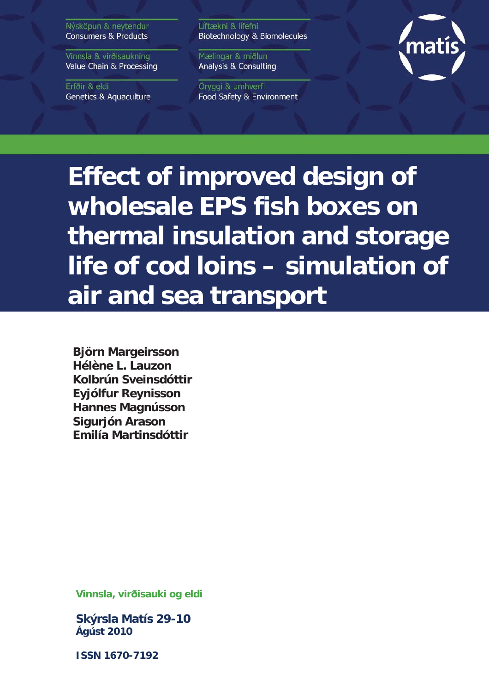Nýsköpun & neytendur **Consumers & Products** 

Vinnsla & virðisaukning Value Chain & Processing

Erfðir & eldi **Genetics & Aquaculture**  Líftækni & lífefni Biotechnology & Biomolecules

Mælingar & miðlun **Analysis & Consulting** 

Öryggi & umhverfi Food Safety & Environment



**Effect of improved design of wholesale EPS fish boxes on thermal insulation and storage life of cod loins – simulation of air and sea transport**

**Björn Margeirsson Hélène L. Lauzon Kolbrún Sveinsdóttir Eyjólfur Reynisson Hannes Magnússon Sigurjón Arason Emilía Martinsdóttir**

**Vinnsla, virðisauki og eldi** 

**Skýrsla Matís 29-10 Ágúst 2010** 

**ISSN 1670-7192**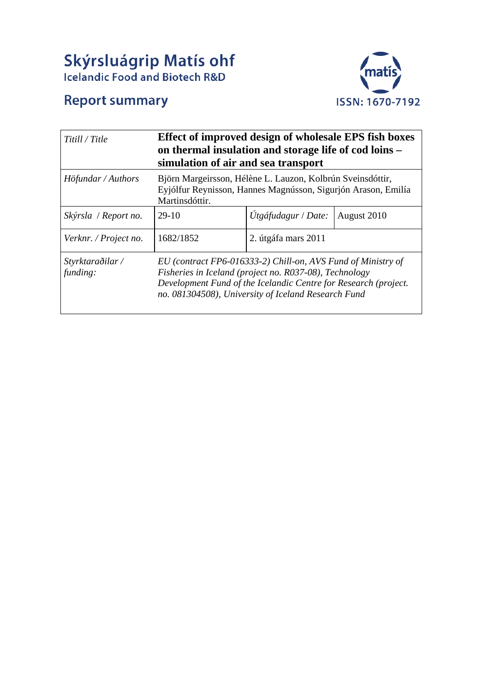# **Skýrsluágrip Matís ohf**<br>Icelandic Food and Biotech R&D



## **Report summary**

| Titill / Title               | Effect of improved design of wholesale EPS fish boxes<br>on thermal insulation and storage life of cod loins -<br>simulation of air and sea transport                                                                                            |                     |             |  |  |
|------------------------------|--------------------------------------------------------------------------------------------------------------------------------------------------------------------------------------------------------------------------------------------------|---------------------|-------------|--|--|
| Höfundar / Authors           | Björn Margeirsson, Hélène L. Lauzon, Kolbrún Sveinsdóttir,<br>Eyjólfur Reynisson, Hannes Magnússon, Sigurjón Arason, Emilía<br>Martinsdóttir.                                                                                                    |                     |             |  |  |
| Skýrsla / Report no.         | 29-10                                                                                                                                                                                                                                            | Utgáfudagur / Date: | August 2010 |  |  |
| Verknr. / Project no.        | 1682/1852                                                                                                                                                                                                                                        | 2. útgáfa mars 2011 |             |  |  |
| Styrktaraðilar /<br>funding: | EU (contract FP6-016333-2) Chill-on, AVS Fund of Ministry of<br>Fisheries in Iceland (project no. R037-08), Technology<br>Development Fund of the Icelandic Centre for Research (project.<br>no. 081304508), University of Iceland Research Fund |                     |             |  |  |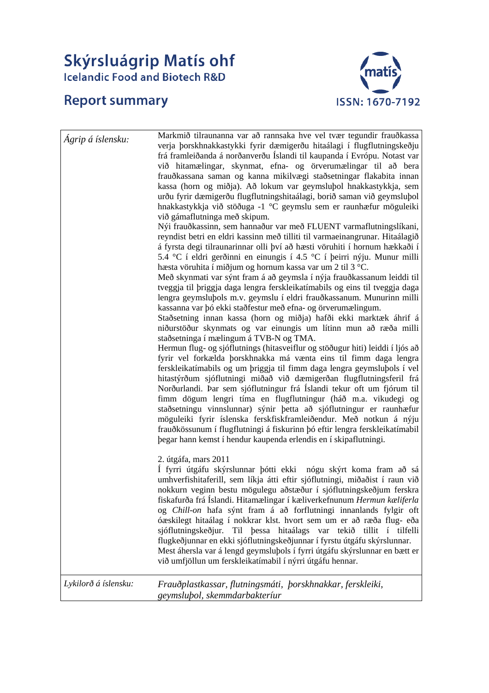# Skýrsluágrip Matís ohf<br>Icelandic Food and Biotech R&D

## **Report summary**



| Ágrip á íslensku:    | Markmið tilraunanna var að rannsaka hve vel tvær tegundir frauðkassa<br>verja þorskhnakkastykki fyrir dæmigerðu hitaálagi í flugflutningskeðju<br>frá framleiðanda á norðanverðu Íslandi til kaupanda í Evrópu. Notast var<br>við hitamælingar, skynmat, efna- og örverumælingar til að bera<br>frauðkassana saman og kanna mikilvægi staðsetningar flakabita innan<br>kassa (horn og miðja). Að lokum var geymslubol hnakkastykkja, sem<br>urðu fyrir dæmigerðu flugflutningshitaálagi, borið saman við geymsluþol<br>hnakkastykkja við stöðuga -1 °C geymslu sem er raunhæfur möguleiki<br>við gámaflutninga með skipum.<br>Nýi frauðkassinn, sem hannaður var með FLUENT varmaflutningslíkani,<br>reyndist betri en eldri kassinn með tilliti til varmaeinangrunar. Hitaálagið<br>á fyrsta degi tilraunarinnar olli því að hæsti vöruhiti í hornum hækkaði í<br>5.4 °C í eldri gerðinni en einungis í 4.5 °C í þeirri nýju. Munur milli<br>hæsta vöruhita í miðjum og hornum kassa var um 2 til 3 °C.<br>Með skynmati var sýnt fram á að geymsla í nýja frauðkassanum leiddi til<br>tveggja til þriggja daga lengra ferskleikatímabils og eins til tveggja daga<br>lengra geymsluþols m.v. geymslu í eldri frauðkassanum. Munurinn milli<br>kassanna var þó ekki staðfestur með efna- og örverumælingum.<br>Staðsetning innan kassa (horn og miðja) hafði ekki marktæk áhrif á<br>niðurstöður skynmats og var einungis um lítinn mun að ræða milli<br>staðsetninga í mælingum á TVB-N og TMA.<br>Hermun flug- og sjóflutnings (hitasveiflur og stöðugur hiti) leiddi í ljós að<br>fyrir vel forkælda þorskhnakka má vænta eins til fimm daga lengra<br>ferskleikatímabils og um þriggja til fimm daga lengra geymsluþols í vel<br>hitastýrðum sjóflutningi miðað við dæmigerðan flugflutningsferil frá<br>Norðurlandi. Þar sem sjóflutningur frá Íslandi tekur oft um fjórum til<br>fimm dögum lengri tíma en flugflutningur (háð m.a. vikudegi og<br>staðsetningu vinnslunnar) sýnir þetta að sjóflutningur er raunhæfur<br>möguleiki fyrir íslenska ferskfiskframleiðendur. Með notkun á nýju<br>frauðkössunum í flugflutningi á fiskurinn þó eftir lengra ferskleikatímabil<br>begar hann kemst í hendur kaupenda erlendis en í skipaflutningi.<br>2. útgáfa, mars 2011<br>Í fyrri útgáfu skýrslunnar þótti ekki nógu skýrt koma fram að sá<br>umhverfishitaferill, sem líkja átti eftir sjóflutningi, miðaðist í raun við<br>nokkurn veginn bestu mögulegu aðstæður í sjóflutningskeðjum ferskra<br>fiskafurða frá Íslandi. Hitamælingar í kæliverkefnunum Hermun kæliferla<br>og Chill-on hafa sýnt fram á að forflutningi innanlands fylgir oft<br>óæskilegt hitaálag í nokkrar klst. hvort sem um er að ræða flug- eða<br>sjóflutningskeðjur. Til þessa hitaálags var tekið tillit í tilfelli<br>flugkeðjunnar en ekki sjóflutningskeðjunnar í fyrstu útgáfu skýrslunnar.<br>Mest áhersla var á lengd geymslubols í fyrri útgáfu skýrslunnar en bætt er<br>við umfjöllun um ferskleikatímabil í nýrri útgáfu hennar. |
|----------------------|--------------------------------------------------------------------------------------------------------------------------------------------------------------------------------------------------------------------------------------------------------------------------------------------------------------------------------------------------------------------------------------------------------------------------------------------------------------------------------------------------------------------------------------------------------------------------------------------------------------------------------------------------------------------------------------------------------------------------------------------------------------------------------------------------------------------------------------------------------------------------------------------------------------------------------------------------------------------------------------------------------------------------------------------------------------------------------------------------------------------------------------------------------------------------------------------------------------------------------------------------------------------------------------------------------------------------------------------------------------------------------------------------------------------------------------------------------------------------------------------------------------------------------------------------------------------------------------------------------------------------------------------------------------------------------------------------------------------------------------------------------------------------------------------------------------------------------------------------------------------------------------------------------------------------------------------------------------------------------------------------------------------------------------------------------------------------------------------------------------------------------------------------------------------------------------------------------------------------------------------------------------------------------------------------------------------------------------------------------------------------------------------------------------------------------------------------------------------------------------------------------------------------------------------------------------------------------------------------------------------------------------------------------------------------------------------------------------------------------------------------------------------------------------------------------------------------------------------------------------------------------------------------------------------------------------------------------------------------------------------------------------------------------|
| Lykilorð á íslensku: | Frauðplastkassar, flutningsmáti, þorskhnakkar, ferskleiki,<br>geymslubol, skemmdarbakteríur                                                                                                                                                                                                                                                                                                                                                                                                                                                                                                                                                                                                                                                                                                                                                                                                                                                                                                                                                                                                                                                                                                                                                                                                                                                                                                                                                                                                                                                                                                                                                                                                                                                                                                                                                                                                                                                                                                                                                                                                                                                                                                                                                                                                                                                                                                                                                                                                                                                                                                                                                                                                                                                                                                                                                                                                                                                                                                                                    |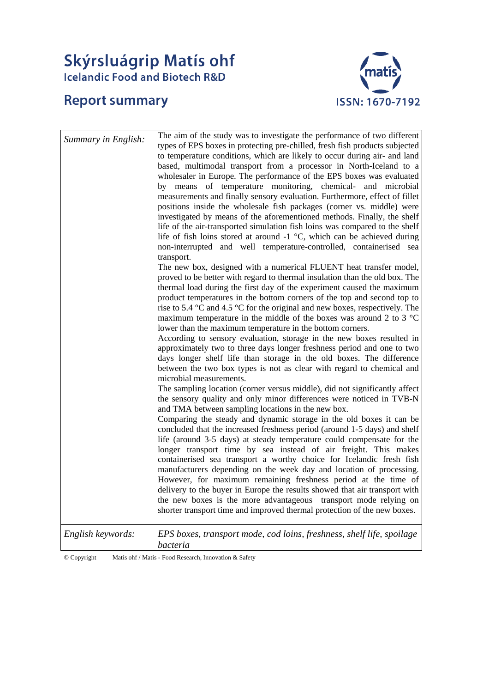## **Skýrsluágrip Matís ohf**<br>Icelandic Food and Biotech R&D

### **Report summary**



| Summary in English: | The aim of the study was to investigate the performance of two different<br>types of EPS boxes in protecting pre-chilled, fresh fish products subjected<br>to temperature conditions, which are likely to occur during air- and land<br>based, multimodal transport from a processor in North-Iceland to a<br>wholesaler in Europe. The performance of the EPS boxes was evaluated<br>by means of temperature monitoring, chemical- and microbial<br>measurements and finally sensory evaluation. Furthermore, effect of fillet<br>positions inside the wholesale fish packages (corner vs. middle) were<br>investigated by means of the aforementioned methods. Finally, the shelf<br>life of the air-transported simulation fish loins was compared to the shelf<br>life of fish loins stored at around $-1$ °C, which can be achieved during<br>non-interrupted and well temperature-controlled, containerised sea                                                              |
|---------------------|------------------------------------------------------------------------------------------------------------------------------------------------------------------------------------------------------------------------------------------------------------------------------------------------------------------------------------------------------------------------------------------------------------------------------------------------------------------------------------------------------------------------------------------------------------------------------------------------------------------------------------------------------------------------------------------------------------------------------------------------------------------------------------------------------------------------------------------------------------------------------------------------------------------------------------------------------------------------------------|
|                     | transport.<br>The new box, designed with a numerical FLUENT heat transfer model,<br>proved to be better with regard to thermal insulation than the old box. The<br>thermal load during the first day of the experiment caused the maximum<br>product temperatures in the bottom corners of the top and second top to<br>rise to 5.4 $\degree$ C and 4.5 $\degree$ C for the original and new boxes, respectively. The<br>maximum temperature in the middle of the boxes was around 2 to 3 $^{\circ}$ C<br>lower than the maximum temperature in the bottom corners.<br>According to sensory evaluation, storage in the new boxes resulted in<br>approximately two to three days longer freshness period and one to two<br>days longer shelf life than storage in the old boxes. The difference<br>between the two box types is not as clear with regard to chemical and                                                                                                            |
|                     | microbial measurements.<br>The sampling location (corner versus middle), did not significantly affect<br>the sensory quality and only minor differences were noticed in TVB-N<br>and TMA between sampling locations in the new box.<br>Comparing the steady and dynamic storage in the old boxes it can be<br>concluded that the increased freshness period (around 1-5 days) and shelf<br>life (around 3-5 days) at steady temperature could compensate for the<br>longer transport time by sea instead of air freight. This makes<br>containerised sea transport a worthy choice for Icelandic fresh fish<br>manufacturers depending on the week day and location of processing.<br>However, for maximum remaining freshness period at the time of<br>delivery to the buyer in Europe the results showed that air transport with<br>the new boxes is the more advantageous transport mode relying on<br>shorter transport time and improved thermal protection of the new boxes. |
| English keywords:   | EPS boxes, transport mode, cod loins, freshness, shelf life, spoilage<br>bacteria                                                                                                                                                                                                                                                                                                                                                                                                                                                                                                                                                                                                                                                                                                                                                                                                                                                                                                  |

© Copyright Matís ohf / Matis - Food Research, Innovation & Safety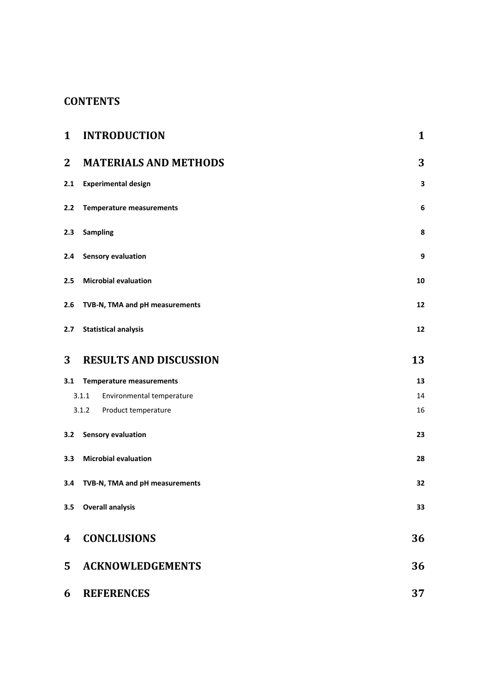### **CONTENTS**

| $\mathbf 1$      | <b>INTRODUCTION</b>                | 1  |
|------------------|------------------------------------|----|
| $\mathbf{2}$     | <b>MATERIALS AND METHODS</b>       | 3  |
| 2.1              | <b>Experimental design</b>         | 3  |
| 2.2              | <b>Temperature measurements</b>    | 6  |
| 2.3              | <b>Sampling</b>                    | 8  |
| 2.4              | <b>Sensory evaluation</b>          | 9  |
| 2.5              | <b>Microbial evaluation</b>        | 10 |
| 2.6              | TVB-N, TMA and pH measurements     | 12 |
| 2.7              | <b>Statistical analysis</b>        | 12 |
| 3                | <b>RESULTS AND DISCUSSION</b>      | 13 |
| 3.1              | <b>Temperature measurements</b>    | 13 |
|                  | 3.1.1<br>Environmental temperature | 14 |
|                  | 3.1.2 Product temperature          | 16 |
| 3.2              | <b>Sensory evaluation</b>          | 23 |
| 3.3 <sub>1</sub> | <b>Microbial evaluation</b>        | 28 |
| 3.4              | TVB-N, TMA and pH measurements     | 32 |
| 3.5              | <b>Overall analysis</b>            | 33 |
| 4                | <b>CONCLUSIONS</b>                 | 36 |
| 5                | <b>ACKNOWLEDGEMENTS</b>            | 36 |
| 6                | <b>REFERENCES</b>                  | 37 |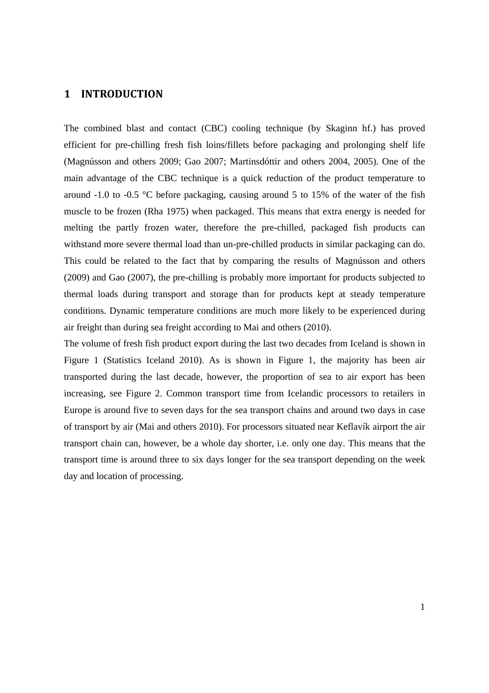#### **1 INTRODUCTION**

The combined blast and contact (CBC) cooling technique (by Skaginn hf.) has proved efficient for pre-chilling fresh fish loins/fillets before packaging and prolonging shelf life (Magnússon and others 2009; Gao 2007; Martinsdóttir and others 2004, 2005). One of the main advantage of the CBC technique is a quick reduction of the product temperature to around -1.0 to -0.5 °C before packaging, causing around 5 to 15% of the water of the fish muscle to be frozen (Rha 1975) when packaged. This means that extra energy is needed for melting the partly frozen water, therefore the pre-chilled, packaged fish products can withstand more severe thermal load than un-pre-chilled products in similar packaging can do. This could be related to the fact that by comparing the results of Magnússon and others (2009) and Gao (2007), the pre-chilling is probably more important for products subjected to thermal loads during transport and storage than for products kept at steady temperature conditions. Dynamic temperature conditions are much more likely to be experienced during air freight than during sea freight according to Mai and others (2010).

The volume of fresh fish product export during the last two decades from Iceland is shown in Figure 1 (Statistics Iceland 2010). As is shown in Figure 1, the majority has been air transported during the last decade, however, the proportion of sea to air export has been increasing, see Figure 2. Common transport time from Icelandic processors to retailers in Europe is around five to seven days for the sea transport chains and around two days in case of transport by air (Mai and others 2010). For processors situated near Keflavík airport the air transport chain can, however, be a whole day shorter, i.e. only one day. This means that the transport time is around three to six days longer for the sea transport depending on the week day and location of processing.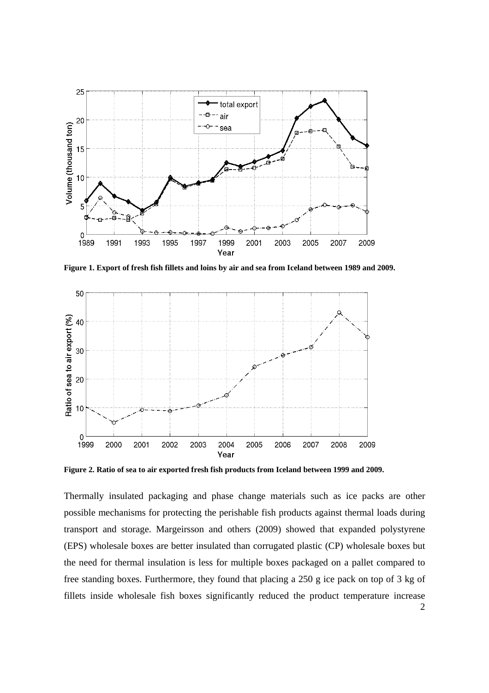

**Figure 1. Export of fresh fish fillets and loins by air and sea from Iceland between 1989 and 2009.** 



**Figure 2. Ratio of sea to air exported fresh fish products from Iceland between 1999 and 2009.** 

Thermally insulated packaging and phase change materials such as ice packs are other possible mechanisms for protecting the perishable fish products against thermal loads during transport and storage. Margeirsson and others (2009) showed that expanded polystyrene (EPS) wholesale boxes are better insulated than corrugated plastic (CP) wholesale boxes but the need for thermal insulation is less for multiple boxes packaged on a pallet compared to free standing boxes. Furthermore, they found that placing a 250 g ice pack on top of 3 kg of fillets inside wholesale fish boxes significantly reduced the product temperature increase

2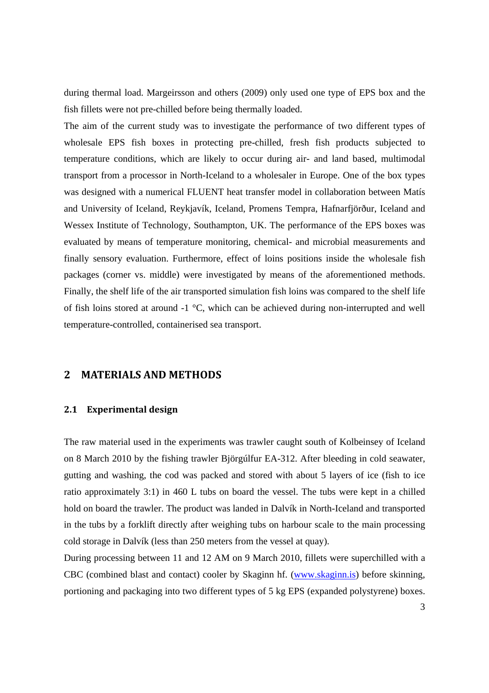during thermal load. Margeirsson and others (2009) only used one type of EPS box and the fish fillets were not pre-chilled before being thermally loaded.

The aim of the current study was to investigate the performance of two different types of wholesale EPS fish boxes in protecting pre-chilled, fresh fish products subjected to temperature conditions, which are likely to occur during air- and land based, multimodal transport from a processor in North-Iceland to a wholesaler in Europe. One of the box types was designed with a numerical FLUENT heat transfer model in collaboration between Matís and University of Iceland, Reykjavík, Iceland, Promens Tempra, Hafnarfjörður, Iceland and Wessex Institute of Technology, Southampton, UK. The performance of the EPS boxes was evaluated by means of temperature monitoring, chemical- and microbial measurements and finally sensory evaluation. Furthermore, effect of loins positions inside the wholesale fish packages (corner vs. middle) were investigated by means of the aforementioned methods. Finally, the shelf life of the air transported simulation fish loins was compared to the shelf life of fish loins stored at around -1 °C, which can be achieved during non-interrupted and well temperature-controlled, containerised sea transport.

#### **2 MATERIALS AND METHODS**

#### **2.1 Experimental design**

The raw material used in the experiments was trawler caught south of Kolbeinsey of Iceland on 8 March 2010 by the fishing trawler Björgúlfur EA-312. After bleeding in cold seawater, gutting and washing, the cod was packed and stored with about 5 layers of ice (fish to ice ratio approximately 3:1) in 460 L tubs on board the vessel. The tubs were kept in a chilled hold on board the trawler. The product was landed in Dalvík in North-Iceland and transported in the tubs by a forklift directly after weighing tubs on harbour scale to the main processing cold storage in Dalvík (less than 250 meters from the vessel at quay).

During processing between 11 and 12 AM on 9 March 2010, fillets were superchilled with a CBC (combined blast and contact) cooler by Skaginn hf. (www.skaginn.is) before skinning, portioning and packaging into two different types of 5 kg EPS (expanded polystyrene) boxes.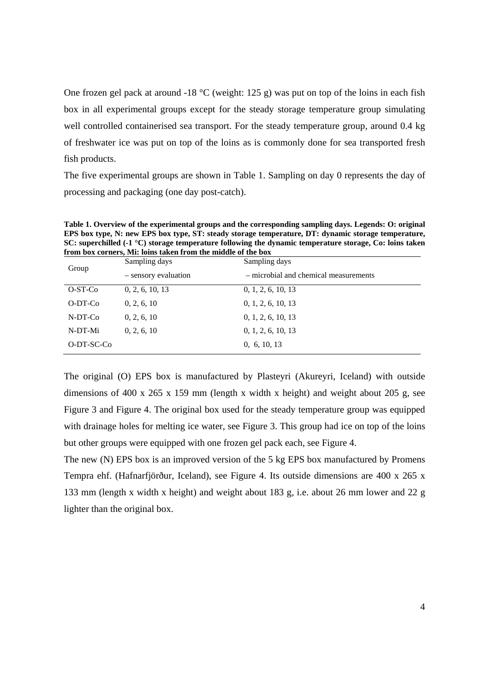One frozen gel pack at around -18  $\degree$ C (weight: 125 g) was put on top of the loins in each fish box in all experimental groups except for the steady storage temperature group simulating well controlled containerised sea transport. For the steady temperature group, around 0.4 kg of freshwater ice was put on top of the loins as is commonly done for sea transported fresh fish products.

The five experimental groups are shown in Table 1. Sampling on day 0 represents the day of processing and packaging (one day post-catch).

**Table 1. Overview of the experimental groups and the corresponding sampling days. Legends: O: original EPS box type, N: new EPS box type, ST: steady storage temperature, DT: dynamic storage temperature, SC: superchilled (-1 °C) storage temperature following the dynamic temperature storage, Co: loins taken from box corners, Mi: loins taken from the middle of the box** 

| Group      | Sampling days        | Sampling days                         |  |
|------------|----------------------|---------------------------------------|--|
|            | - sensory evaluation | - microbial and chemical measurements |  |
| $O-ST-Co$  | 0, 2, 6, 10, 13      | 0, 1, 2, 6, 10, 13                    |  |
| $O-DT-Co$  | 0, 2, 6, 10          | 0, 1, 2, 6, 10, 13                    |  |
| N-DT-Co    | 0, 2, 6, 10          | 0, 1, 2, 6, 10, 13                    |  |
| N-DT-Mi    | 0, 2, 6, 10          | 0, 1, 2, 6, 10, 13                    |  |
| O-DT-SC-Co |                      | 0, 6, 10, 13                          |  |

The original (O) EPS box is manufactured by Plasteyri (Akureyri, Iceland) with outside dimensions of 400 x 265 x 159 mm (length x width x height) and weight about 205 g, see Figure 3 and Figure 4. The original box used for the steady temperature group was equipped with drainage holes for melting ice water, see Figure 3. This group had ice on top of the loins but other groups were equipped with one frozen gel pack each, see Figure 4.

The new (N) EPS box is an improved version of the 5 kg EPS box manufactured by Promens Tempra ehf. (Hafnarfjörður, Iceland), see Figure 4. Its outside dimensions are 400 x 265 x 133 mm (length x width x height) and weight about 183 g, i.e. about 26 mm lower and 22 g lighter than the original box.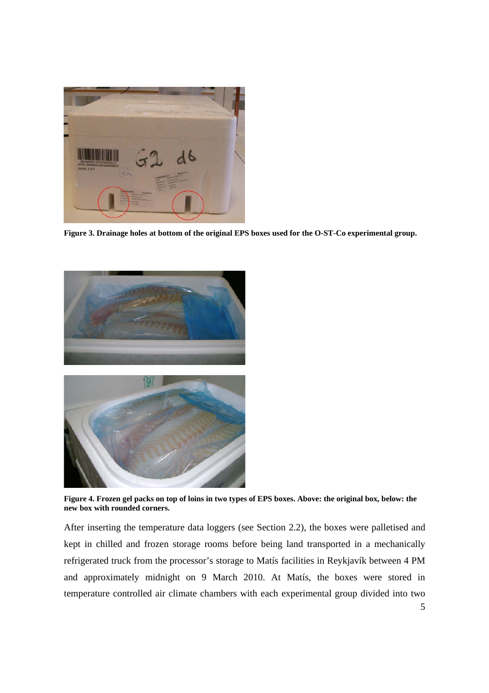

**Figure 3. Drainage holes at bottom of the original EPS boxes used for the O-ST-Co experimental group.** 





**Figure 4. Frozen gel packs on top of loins in two types of EPS boxes. Above: the original box, below: the new box with rounded corners.** 

After inserting the temperature data loggers (see Section 2.2), the boxes were palletised and kept in chilled and frozen storage rooms before being land transported in a mechanically refrigerated truck from the processor's storage to Matís facilities in Reykjavík between 4 PM and approximately midnight on 9 March 2010. At Matís, the boxes were stored in temperature controlled air climate chambers with each experimental group divided into two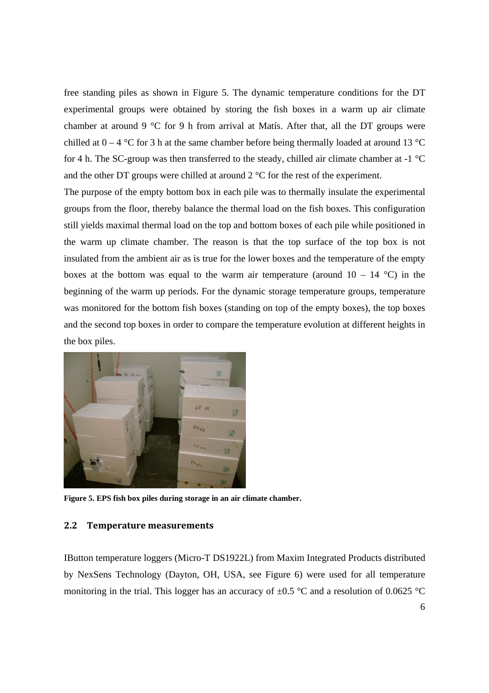free standing piles as shown in Figure 5. The dynamic temperature conditions for the DT experimental groups were obtained by storing the fish boxes in a warm up air climate chamber at around 9 °C for 9 h from arrival at Matís. After that, all the DT groups were chilled at  $0 - 4$  °C for 3 h at the same chamber before being thermally loaded at around 13 °C for 4 h. The SC-group was then transferred to the steady, chilled air climate chamber at -1 °C and the other DT groups were chilled at around  $2^{\circ}$ C for the rest of the experiment.

The purpose of the empty bottom box in each pile was to thermally insulate the experimental groups from the floor, thereby balance the thermal load on the fish boxes. This configuration still yields maximal thermal load on the top and bottom boxes of each pile while positioned in the warm up climate chamber. The reason is that the top surface of the top box is not insulated from the ambient air as is true for the lower boxes and the temperature of the empty boxes at the bottom was equal to the warm air temperature (around  $10 - 14$  °C) in the beginning of the warm up periods. For the dynamic storage temperature groups, temperature was monitored for the bottom fish boxes (standing on top of the empty boxes), the top boxes and the second top boxes in order to compare the temperature evolution at different heights in the box piles.



**Figure 5. EPS fish box piles during storage in an air climate chamber.** 

#### **2.2 Temperature measurements**

IButton temperature loggers (Micro-T DS1922L) from Maxim Integrated Products distributed by NexSens Technology (Dayton, OH, USA, see Figure 6) were used for all temperature monitoring in the trial. This logger has an accuracy of  $\pm 0.5$  °C and a resolution of 0.0625 °C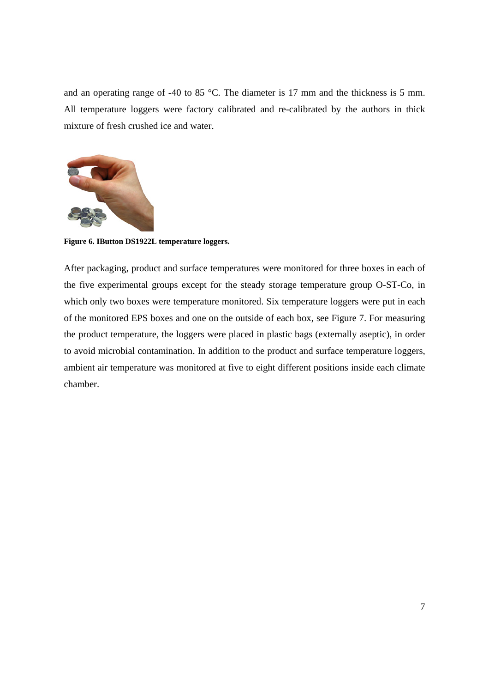and an operating range of -40 to 85 °C. The diameter is 17 mm and the thickness is 5 mm. All temperature loggers were factory calibrated and re-calibrated by the authors in thick mixture of fresh crushed ice and water.



**Figure 6. IButton DS1922L temperature loggers.** 

After packaging, product and surface temperatures were monitored for three boxes in each of the five experimental groups except for the steady storage temperature group O-ST-Co, in which only two boxes were temperature monitored. Six temperature loggers were put in each of the monitored EPS boxes and one on the outside of each box, see Figure 7. For measuring the product temperature, the loggers were placed in plastic bags (externally aseptic), in order to avoid microbial contamination. In addition to the product and surface temperature loggers, ambient air temperature was monitored at five to eight different positions inside each climate chamber.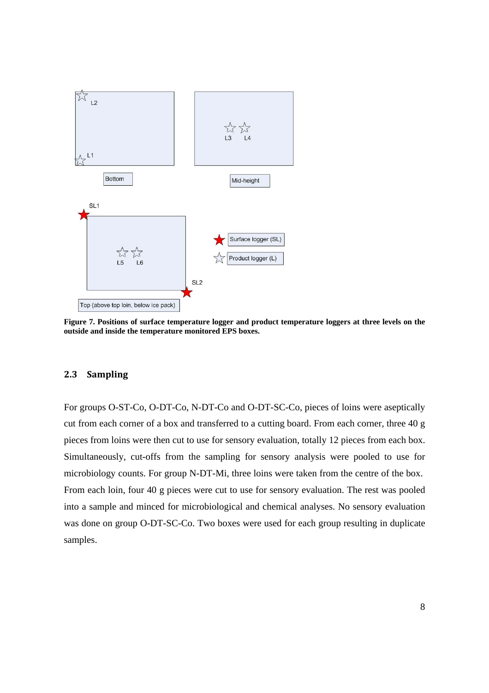

**Figure 7. Positions of surface temperature logger and product temperature loggers at three levels on the outside and inside the temperature monitored EPS boxes.** 

#### **2.3 Sampling**

For groups O-ST-Co, O-DT-Co, N-DT-Co and O-DT-SC-Co, pieces of loins were aseptically cut from each corner of a box and transferred to a cutting board. From each corner, three 40 g pieces from loins were then cut to use for sensory evaluation, totally 12 pieces from each box. Simultaneously, cut-offs from the sampling for sensory analysis were pooled to use for microbiology counts. For group N-DT-Mi, three loins were taken from the centre of the box. From each loin, four 40 g pieces were cut to use for sensory evaluation. The rest was pooled into a sample and minced for microbiological and chemical analyses. No sensory evaluation was done on group O-DT-SC-Co. Two boxes were used for each group resulting in duplicate samples.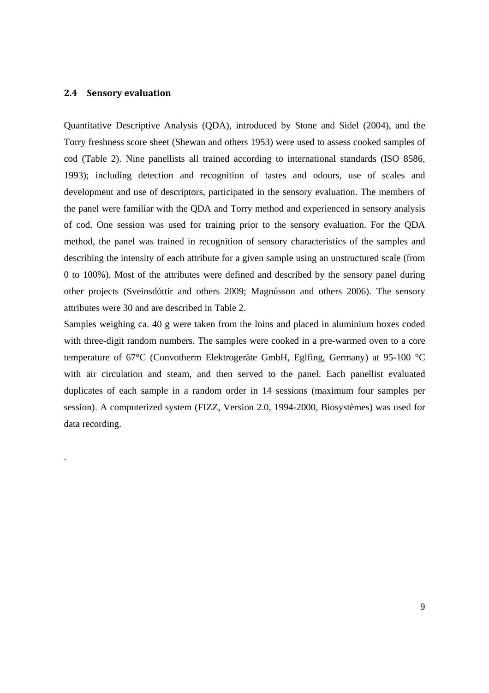#### **2.4 Sensory evaluation**

.

Quantitative Descriptive Analysis (QDA), introduced by Stone and Sidel (2004), and the Torry freshness score sheet (Shewan and others 1953) were used to assess cooked samples of cod (Table 2). Nine panellists all trained according to international standards (ISO 8586, 1993); including detection and recognition of tastes and odours, use of scales and development and use of descriptors, participated in the sensory evaluation. The members of the panel were familiar with the QDA and Torry method and experienced in sensory analysis of cod. One session was used for training prior to the sensory evaluation. For the QDA method, the panel was trained in recognition of sensory characteristics of the samples and describing the intensity of each attribute for a given sample using an unstructured scale (from 0 to 100%). Most of the attributes were defined and described by the sensory panel during other projects (Sveinsdóttir and others 2009; Magnússon and others 2006). The sensory attributes were 30 and are described in Table 2.

Samples weighing ca. 40 g were taken from the loins and placed in aluminium boxes coded with three-digit random numbers. The samples were cooked in a pre-warmed oven to a core temperature of 67°C (Convotherm Elektrogeräte GmbH, Eglfing, Germany) at 95-100 °C with air circulation and steam, and then served to the panel. Each panellist evaluated duplicates of each sample in a random order in 14 sessions (maximum four samples per session). A computerized system (FIZZ, Version 2.0, 1994-2000, Biosystèmes) was used for data recording.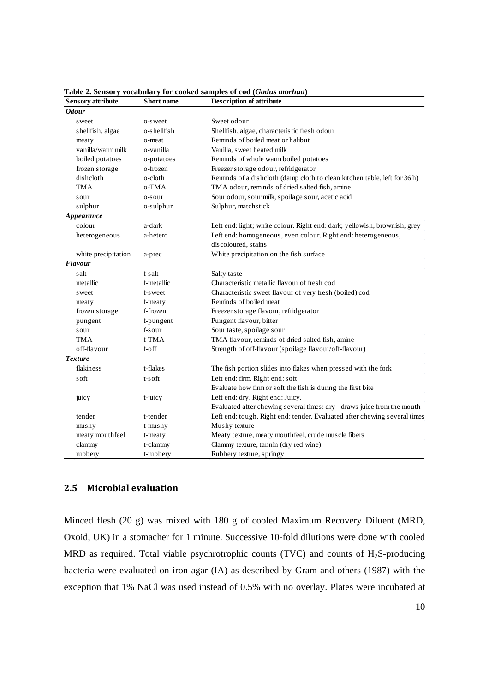| <b>Sensory</b> attribute | <b>Short</b> name | <b>Description of attribute</b>                                           |
|--------------------------|-------------------|---------------------------------------------------------------------------|
| <b>Odour</b>             |                   |                                                                           |
| sweet                    | o-sweet           | Sweet odour                                                               |
| shellfish, algae         | o-shellfish       | Shellfish, algae, characteristic fresh odour                              |
| meaty                    | o-meat            | Reminds of boiled meat or halibut                                         |
| vanilla/warm milk        | o-vanilla         | Vanilla, sweet heated milk                                                |
| boiled potatoes          | o-potatoes        | Reminds of whole warm boiled potatoes                                     |
| frozen storage           | o-frozen          | Freezer storage odour, refridgerator                                      |
| disheloth                | o-cloth           | Reminds of a dishcloth (damp cloth to clean kitchen table, left for 36 h) |
| <b>TMA</b>               | o-TMA             | TMA odour, reminds of dried salted fish, amine                            |
| sour                     | o-sour            | Sour odour, sour milk, spoilage sour, acetic acid                         |
| sulphur                  | o-sulphur         | Sulphur, matchstick                                                       |
| Appearance               |                   |                                                                           |
| colour                   | a-dark            | Left end: light; white colour. Right end: dark; yellowish, brownish, grey |
| heterogeneous            | a-hetero          | Left end: homogeneous, even colour. Right end: heterogeneous,             |
|                          |                   | discoloured, stains                                                       |
| white precipitation      | a-prec            | White precipitation on the fish surface                                   |
| <b>Flavour</b>           |                   |                                                                           |
| salt                     | f-salt            | Salty taste                                                               |
| metallic                 | f-metallic        | Characteristic metallic flavour of fresh cod                              |
| sweet                    | f-sweet           | Characteristic sweet flavour of very fresh (boiled) cod                   |
| meaty                    | f-meaty           | Reminds of boiled meat                                                    |
| frozen storage           | f-frozen          | Freezer storage flavour, refridgerator                                    |
| pungent                  | f-pungent         | Pungent flavour, bitter                                                   |
| sour                     | f-sour            | Sour taste, spoilage sour                                                 |
| TMA                      | f-TMA             | TMA flavour, reminds of dried salted fish, amine                          |
| off-flavour              | f-off             | Strength of off-flavour (spoilage flavour/off-flavour)                    |
| <b>Texture</b>           |                   |                                                                           |
| flakiness                | t-flakes          | The fish portion slides into flakes when pressed with the fork            |
| soft                     | t-soft            | Left end: firm. Right end: soft.                                          |
|                          |                   | Evaluate how firm or soft the fish is during the first bite               |
| juicy                    | t-juicy           | Left end: dry. Right end: Juicy.                                          |
|                          |                   | Evaluated after chewing several times: dry - draws juice from the mouth   |
| tender                   | t-tender          | Left end: tough. Right end: tender. Evaluated after chewing several times |
| mushy                    | t-mushy           | Mushy texture                                                             |
| meaty mouthfeel          | t-meaty           | Meaty texture, meaty mouthfeel, crude muscle fibers                       |
| clammy                   | t-clammy          | Clammy texture, tannin (dry red wine)                                     |
| rubbery                  | t-rubbery         | Rubbery texture, springy                                                  |

**Table 2. Sensory vocabulary for cooked samples of cod (***Gadus morhua***)** 

#### **2.5 Microbial evaluation**

Minced flesh (20 g) was mixed with 180 g of cooled Maximum Recovery Diluent (MRD, Oxoid, UK) in a stomacher for 1 minute. Successive 10-fold dilutions were done with cooled MRD as required. Total viable psychrotrophic counts (TVC) and counts of  $H<sub>2</sub>S$ -producing bacteria were evaluated on iron agar (IA) as described by Gram and others (1987) with the exception that 1% NaCl was used instead of 0.5% with no overlay. Plates were incubated at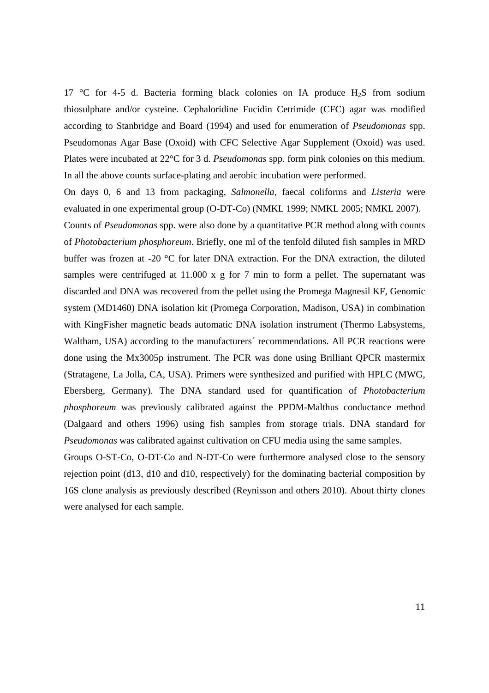17 °C for 4-5 d. Bacteria forming black colonies on IA produce  $H_2S$  from sodium thiosulphate and/or cysteine. Cephaloridine Fucidin Cetrimide (CFC) agar was modified according to Stanbridge and Board (1994) and used for enumeration of *Pseudomonas* spp. Pseudomonas Agar Base (Oxoid) with CFC Selective Agar Supplement (Oxoid) was used. Plates were incubated at 22°C for 3 d. *Pseudomonas* spp. form pink colonies on this medium. In all the above counts surface-plating and aerobic incubation were performed.

On days 0, 6 and 13 from packaging, *Salmonella*, faecal coliforms and *Listeria* were evaluated in one experimental group (O-DT-Co) (NMKL 1999; NMKL 2005; NMKL 2007).

Counts of *Pseudomonas* spp. were also done by a quantitative PCR method along with counts of *Photobacterium phosphoreum*. Briefly, one ml of the tenfold diluted fish samples in MRD buffer was frozen at -20 °C for later DNA extraction. For the DNA extraction, the diluted samples were centrifuged at 11.000 x g for 7 min to form a pellet. The supernatant was discarded and DNA was recovered from the pellet using the Promega Magnesil KF, Genomic system (MD1460) DNA isolation kit (Promega Corporation, Madison, USA) in combination with KingFisher magnetic beads automatic DNA isolation instrument (Thermo Labsystems, Waltham, USA) according to the manufacturers´ recommendations. All PCR reactions were done using the Mx3005p instrument. The PCR was done using Brilliant QPCR mastermix (Stratagene, La Jolla, CA, USA). Primers were synthesized and purified with HPLC (MWG, Ebersberg, Germany). The DNA standard used for quantification of *Photobacterium phosphoreum* was previously calibrated against the PPDM-Malthus conductance method (Dalgaard and others 1996) using fish samples from storage trials. DNA standard for *Pseudomonas* was calibrated against cultivation on CFU media using the same samples.

Groups O-ST-Co, O-DT-Co and N-DT-Co were furthermore analysed close to the sensory rejection point (d13, d10 and d10, respectively) for the dominating bacterial composition by 16S clone analysis as previously described (Reynisson and others 2010). About thirty clones were analysed for each sample.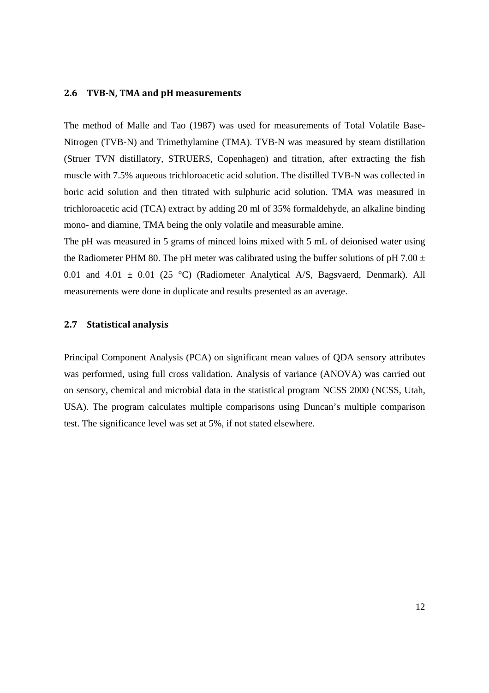#### **2.6 TVBN, TMA and pH measurements**

The method of Malle and Tao (1987) was used for measurements of Total Volatile Base-Nitrogen (TVB-N) and Trimethylamine (TMA). TVB-N was measured by steam distillation (Struer TVN distillatory, STRUERS, Copenhagen) and titration, after extracting the fish muscle with 7.5% aqueous trichloroacetic acid solution. The distilled TVB-N was collected in boric acid solution and then titrated with sulphuric acid solution. TMA was measured in trichloroacetic acid (TCA) extract by adding 20 ml of 35% formaldehyde, an alkaline binding mono- and diamine, TMA being the only volatile and measurable amine.

The pH was measured in 5 grams of minced loins mixed with 5 mL of deionised water using the Radiometer PHM 80. The pH meter was calibrated using the buffer solutions of pH 7.00  $\pm$ 0.01 and 4.01  $\pm$  0.01 (25 °C) (Radiometer Analytical A/S, Bagsvaerd, Denmark). All measurements were done in duplicate and results presented as an average.

#### **2.7 Statistical analysis**

Principal Component Analysis (PCA) on significant mean values of QDA sensory attributes was performed, using full cross validation. Analysis of variance (ANOVA) was carried out on sensory, chemical and microbial data in the statistical program NCSS 2000 (NCSS, Utah, USA). The program calculates multiple comparisons using Duncan's multiple comparison test. The significance level was set at 5%, if not stated elsewhere.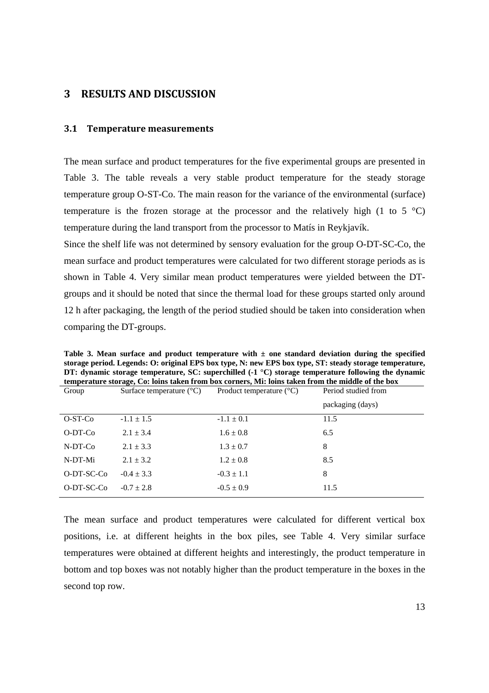#### **3 RESULTS AND DISCUSSION**

#### **3.1 Temperature measurements**

The mean surface and product temperatures for the five experimental groups are presented in Table 3. The table reveals a very stable product temperature for the steady storage temperature group O-ST-Co. The main reason for the variance of the environmental (surface) temperature is the frozen storage at the processor and the relatively high (1 to 5  $^{\circ}$ C) temperature during the land transport from the processor to Matís in Reykjavík.

Since the shelf life was not determined by sensory evaluation for the group O-DT-SC-Co, the mean surface and product temperatures were calculated for two different storage periods as is shown in Table 4. Very similar mean product temperatures were yielded between the DTgroups and it should be noted that since the thermal load for these groups started only around 12 h after packaging, the length of the period studied should be taken into consideration when comparing the DT-groups.

**Table 3. Mean surface and product temperature with ± one standard deviation during the specified storage period. Legends: O: original EPS box type, N: new EPS box type, ST: steady storage temperature, DT: dynamic storage temperature, SC: superchilled (-1 °C) storage temperature following the dynamic temperature storage, Co: loins taken from box corners, Mi: loins taken from the middle of the box** 

| Group      | Surface temperature $(^{\circ}C)$ | Product temperature $({}^{\circ}C)$ | Period studied from |
|------------|-----------------------------------|-------------------------------------|---------------------|
|            |                                   |                                     | packaging (days)    |
| O-ST-Co    | $-1.1 \pm 1.5$                    | $-1.1 \pm 0.1$                      | 11.5                |
| O-DT-Co    | $2.1 \pm 3.4$                     | $1.6 \pm 0.8$                       | 6.5                 |
| $N-DT-Co$  | $2.1 \pm 3.3$                     | $1.3 \pm 0.7$                       | 8                   |
| N-DT-Mi    | $2.1 \pm 3.2$                     | $1.2 \pm 0.8$                       | 8.5                 |
| O-DT-SC-Co | $-0.4 \pm 3.3$                    | $-0.3 \pm 1.1$                      | 8                   |
| O-DT-SC-Co | $-0.7 \pm 2.8$                    | $-0.5 \pm 0.9$                      | 11.5                |
|            |                                   |                                     |                     |

The mean surface and product temperatures were calculated for different vertical box positions, i.e. at different heights in the box piles, see Table 4. Very similar surface temperatures were obtained at different heights and interestingly, the product temperature in bottom and top boxes was not notably higher than the product temperature in the boxes in the second top row.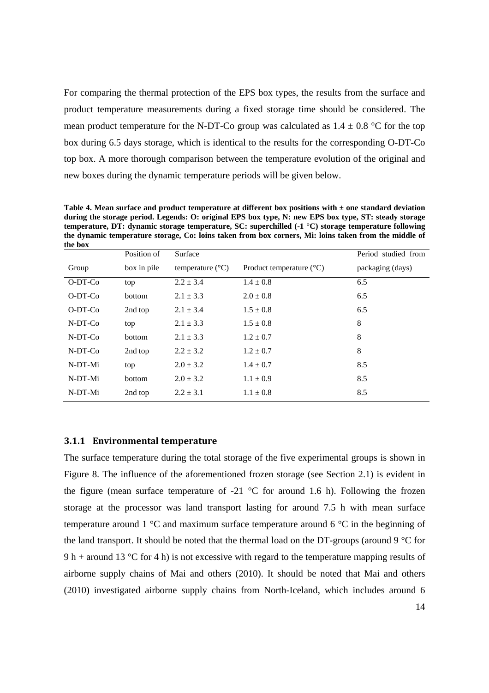For comparing the thermal protection of the EPS box types, the results from the surface and product temperature measurements during a fixed storage time should be considered. The mean product temperature for the N-DT-Co group was calculated as  $1.4 \pm 0.8$  °C for the top box during 6.5 days storage, which is identical to the results for the corresponding O-DT-Co top box. A more thorough comparison between the temperature evolution of the original and new boxes during the dynamic temperature periods will be given below.

**Table 4. Mean surface and product temperature at different box positions with ± one standard deviation during the storage period. Legends: O: original EPS box type, N: new EPS box type, ST: steady storage temperature, DT: dynamic storage temperature, SC: superchilled (-1 °C) storage temperature following the dynamic temperature storage, Co: loins taken from box corners, Mi: loins taken from the middle of** 

| the box   |               |                           |                                     |                     |
|-----------|---------------|---------------------------|-------------------------------------|---------------------|
|           | Position of   | Surface                   |                                     | Period studied from |
| Group     | box in pile   | temperature $(^{\circ}C)$ | Product temperature $({}^{\circ}C)$ | packaging (days)    |
| O-DT-Co   | top           | $2.2 \pm 3.4$             | $1.4 \pm 0.8$                       | 6.5                 |
| $O-DT-Co$ | <b>bottom</b> | $2.1 \pm 3.3$             | $2.0 \pm 0.8$                       | 6.5                 |
| $O-DT-Co$ | 2nd top       | $2.1 \pm 3.4$             | $1.5 \pm 0.8$                       | 6.5                 |
| N-DT-Co   | top           | $2.1 \pm 3.3$             | $1.5 \pm 0.8$                       | 8                   |
| N-DT-Co   | bottom        | $2.1 \pm 3.3$             | $1.2 \pm 0.7$                       | 8                   |
| N-DT-Co   | 2nd top       | $2.2 \pm 3.2$             | $1.2 \pm 0.7$                       | 8                   |
| N-DT-Mi   | top           | $2.0 \pm 3.2$             | $1.4 \pm 0.7$                       | 8.5                 |
| N-DT-Mi   | bottom        | $2.0 \pm 3.2$             | $1.1 \pm 0.9$                       | 8.5                 |
| N-DT-Mi   | 2nd top       | $2.2 \pm 3.1$             | $1.1 \pm 0.8$                       | 8.5                 |

#### **3.1.1 Environmental temperature**

The surface temperature during the total storage of the five experimental groups is shown in Figure 8. The influence of the aforementioned frozen storage (see Section 2.1) is evident in the figure (mean surface temperature of  $-21$  °C for around 1.6 h). Following the frozen storage at the processor was land transport lasting for around 7.5 h with mean surface temperature around 1 °C and maximum surface temperature around 6 °C in the beginning of the land transport. It should be noted that the thermal load on the DT-groups (around 9 °C for 9 h + around 13 °C for 4 h) is not excessive with regard to the temperature mapping results of airborne supply chains of Mai and others (2010). It should be noted that Mai and others (2010) investigated airborne supply chains from North-Iceland, which includes around 6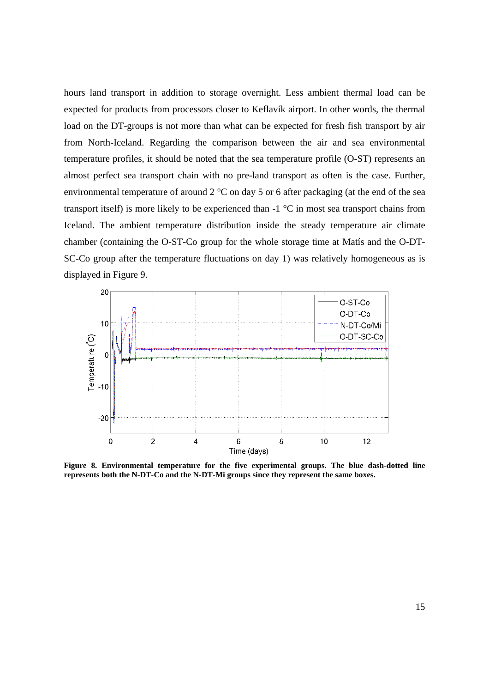hours land transport in addition to storage overnight. Less ambient thermal load can be expected for products from processors closer to Keflavík airport. In other words, the thermal load on the DT-groups is not more than what can be expected for fresh fish transport by air from North-Iceland. Regarding the comparison between the air and sea environmental temperature profiles, it should be noted that the sea temperature profile (O-ST) represents an almost perfect sea transport chain with no pre-land transport as often is the case. Further, environmental temperature of around 2 °C on day 5 or 6 after packaging (at the end of the sea transport itself) is more likely to be experienced than -1 °C in most sea transport chains from Iceland. The ambient temperature distribution inside the steady temperature air climate chamber (containing the O-ST-Co group for the whole storage time at Matís and the O-DT-SC-Co group after the temperature fluctuations on day 1) was relatively homogeneous as is displayed in Figure 9.



**Figure 8. Environmental temperature for the five experimental groups. The blue dash-dotted line represents both the N-DT-Co and the N-DT-Mi groups since they represent the same boxes.**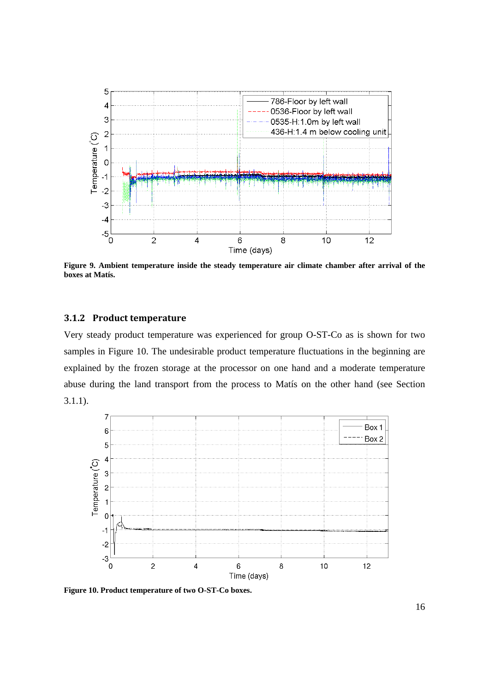

**Figure 9. Ambient temperature inside the steady temperature air climate chamber after arrival of the boxes at Matís.** 

#### **3.1.2 Product temperature**

Very steady product temperature was experienced for group O-ST-Co as is shown for two samples in Figure 10. The undesirable product temperature fluctuations in the beginning are explained by the frozen storage at the processor on one hand and a moderate temperature abuse during the land transport from the process to Matís on the other hand (see Section 3.1.1).



**Figure 10. Product temperature of two O-ST-Co boxes.**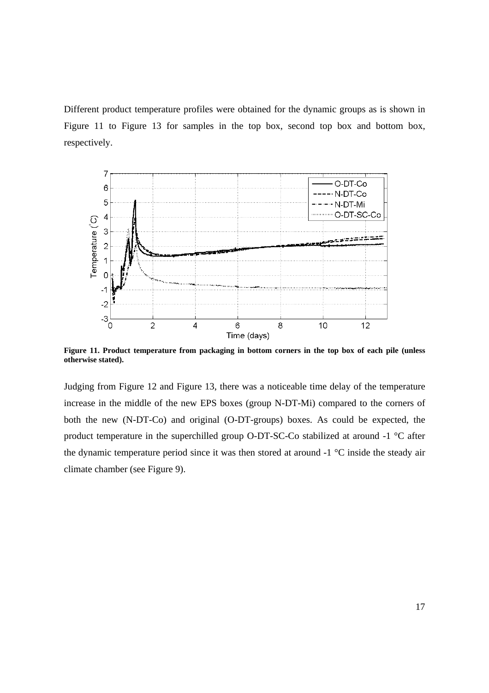Different product temperature profiles were obtained for the dynamic groups as is shown in Figure 11 to Figure 13 for samples in the top box, second top box and bottom box, respectively.



**Figure 11. Product temperature from packaging in bottom corners in the top box of each pile (unless otherwise stated).** 

Judging from Figure 12 and Figure 13, there was a noticeable time delay of the temperature increase in the middle of the new EPS boxes (group N-DT-Mi) compared to the corners of both the new (N-DT-Co) and original (O-DT-groups) boxes. As could be expected, the product temperature in the superchilled group O-DT-SC-Co stabilized at around -1 °C after the dynamic temperature period since it was then stored at around -1 °C inside the steady air climate chamber (see Figure 9).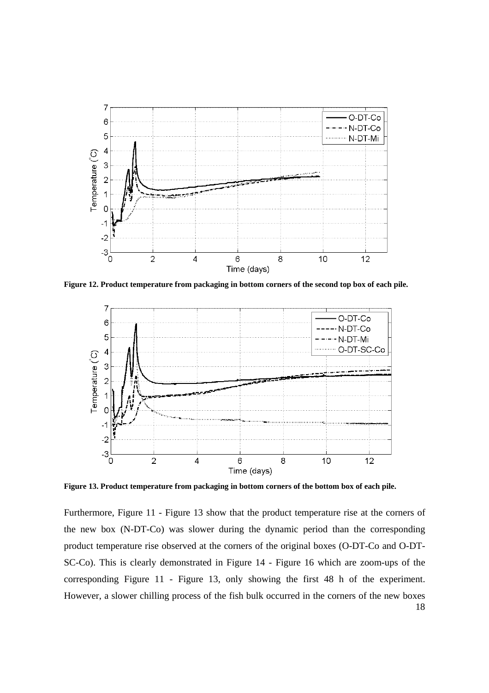

**Figure 12. Product temperature from packaging in bottom corners of the second top box of each pile.** 



**Figure 13. Product temperature from packaging in bottom corners of the bottom box of each pile.** 

18 Furthermore, Figure 11 - Figure 13 show that the product temperature rise at the corners of the new box (N-DT-Co) was slower during the dynamic period than the corresponding product temperature rise observed at the corners of the original boxes (O-DT-Co and O-DT-SC-Co). This is clearly demonstrated in Figure 14 - Figure 16 which are zoom-ups of the corresponding Figure 11 - Figure 13, only showing the first 48 h of the experiment. However, a slower chilling process of the fish bulk occurred in the corners of the new boxes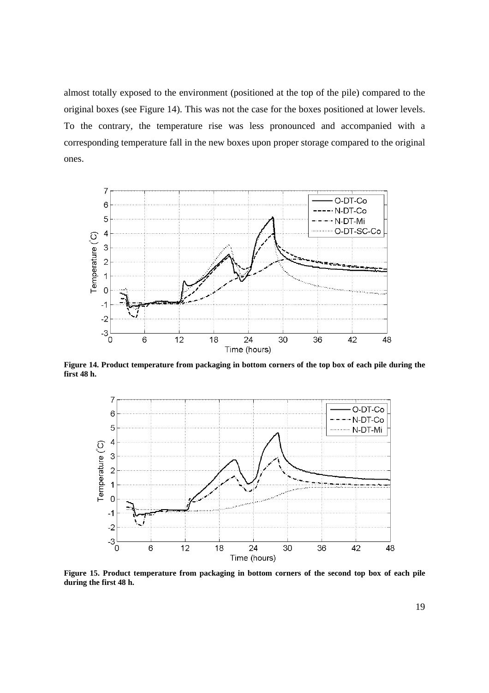almost totally exposed to the environment (positioned at the top of the pile) compared to the original boxes (see Figure 14). This was not the case for the boxes positioned at lower levels. To the contrary, the temperature rise was less pronounced and accompanied with a corresponding temperature fall in the new boxes upon proper storage compared to the original ones.



**Figure 14. Product temperature from packaging in bottom corners of the top box of each pile during the first 48 h.** 



**Figure 15. Product temperature from packaging in bottom corners of the second top box of each pile during the first 48 h.**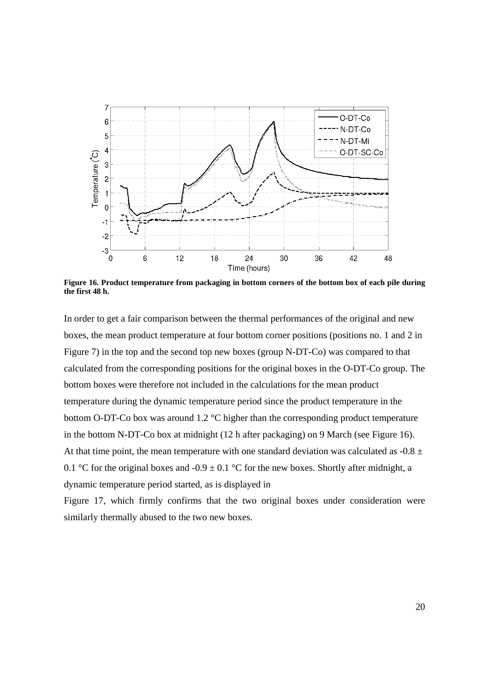

**Figure 16. Product temperature from packaging in bottom corners of the bottom box of each pile during the first 48 h.** 

In order to get a fair comparison between the thermal performances of the original and new boxes, the mean product temperature at four bottom corner positions (positions no. 1 and 2 in Figure 7) in the top and the second top new boxes (group N-DT-Co) was compared to that calculated from the corresponding positions for the original boxes in the O-DT-Co group. The bottom boxes were therefore not included in the calculations for the mean product temperature during the dynamic temperature period since the product temperature in the bottom O-DT-Co box was around 1.2 °C higher than the corresponding product temperature in the bottom N-DT-Co box at midnight (12 h after packaging) on 9 March (see Figure 16). At that time point, the mean temperature with one standard deviation was calculated as  $-0.8 \pm 1$ 0.1 °C for the original boxes and -0.9  $\pm$  0.1 °C for the new boxes. Shortly after midnight, a dynamic temperature period started, as is displayed in

Figure 17, which firmly confirms that the two original boxes under consideration were similarly thermally abused to the two new boxes.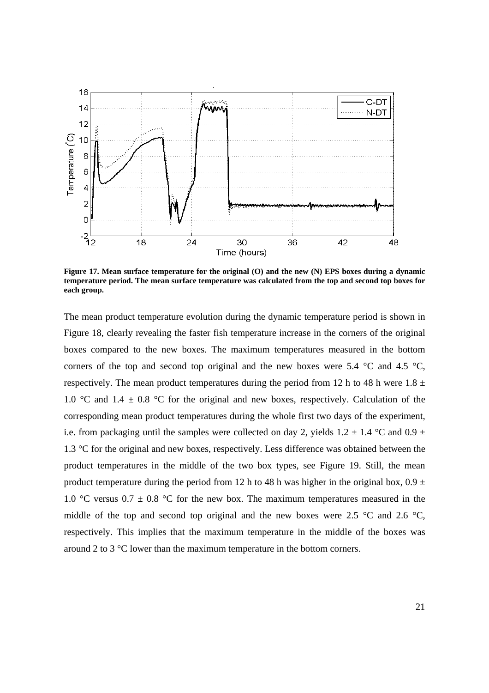

**Figure 17. Mean surface temperature for the original (O) and the new (N) EPS boxes during a dynamic temperature period. The mean surface temperature was calculated from the top and second top boxes for each group.** 

The mean product temperature evolution during the dynamic temperature period is shown in Figure 18, clearly revealing the faster fish temperature increase in the corners of the original boxes compared to the new boxes. The maximum temperatures measured in the bottom corners of the top and second top original and the new boxes were 5.4  $\degree$ C and 4.5  $\degree$ C, respectively. The mean product temperatures during the period from 12 h to 48 h were  $1.8 \pm$ 1.0 °C and 1.4  $\pm$  0.8 °C for the original and new boxes, respectively. Calculation of the corresponding mean product temperatures during the whole first two days of the experiment, i.e. from packaging until the samples were collected on day 2, yields  $1.2 \pm 1.4$  °C and  $0.9 \pm 1.4$ 1.3 °C for the original and new boxes, respectively. Less difference was obtained between the product temperatures in the middle of the two box types, see Figure 19. Still, the mean product temperature during the period from 12 h to 48 h was higher in the original box,  $0.9 \pm$ 1.0 °C versus 0.7  $\pm$  0.8 °C for the new box. The maximum temperatures measured in the middle of the top and second top original and the new boxes were 2.5  $\degree$ C and 2.6  $\degree$ C, respectively. This implies that the maximum temperature in the middle of the boxes was around 2 to 3 °C lower than the maximum temperature in the bottom corners.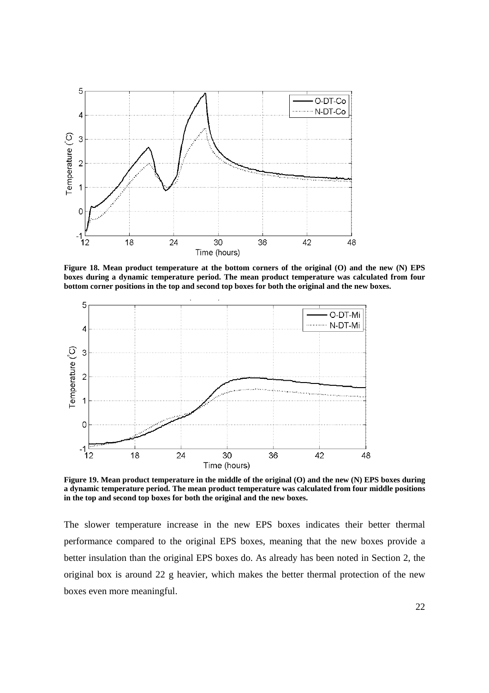

**Figure 18. Mean product temperature at the bottom corners of the original (O) and the new (N) EPS boxes during a dynamic temperature period. The mean product temperature was calculated from four bottom corner positions in the top and second top boxes for both the original and the new boxes.** 



**Figure 19. Mean product temperature in the middle of the original (O) and the new (N) EPS boxes during a dynamic temperature period. The mean product temperature was calculated from four middle positions in the top and second top boxes for both the original and the new boxes.** 

The slower temperature increase in the new EPS boxes indicates their better thermal performance compared to the original EPS boxes, meaning that the new boxes provide a better insulation than the original EPS boxes do. As already has been noted in Section 2, the original box is around 22 g heavier, which makes the better thermal protection of the new boxes even more meaningful.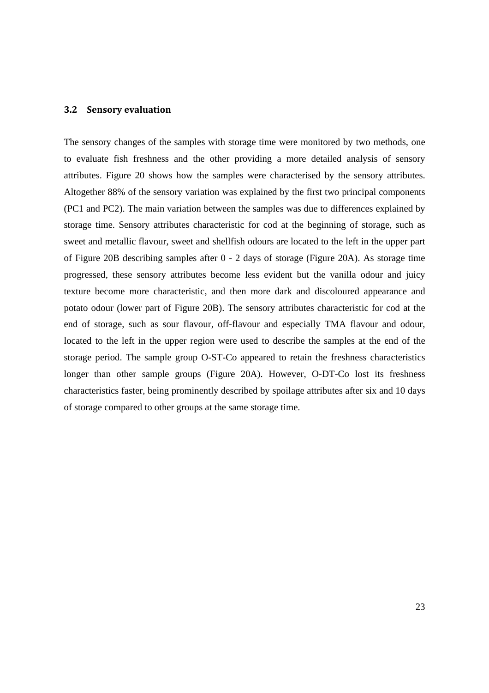#### **3.2 Sensory evaluation**

The sensory changes of the samples with storage time were monitored by two methods, one to evaluate fish freshness and the other providing a more detailed analysis of sensory attributes. Figure 20 shows how the samples were characterised by the sensory attributes. Altogether 88% of the sensory variation was explained by the first two principal components (PC1 and PC2). The main variation between the samples was due to differences explained by storage time. Sensory attributes characteristic for cod at the beginning of storage, such as sweet and metallic flavour, sweet and shellfish odours are located to the left in the upper part of Figure 20B describing samples after 0 - 2 days of storage (Figure 20A). As storage time progressed, these sensory attributes become less evident but the vanilla odour and juicy texture become more characteristic, and then more dark and discoloured appearance and potato odour (lower part of Figure 20B). The sensory attributes characteristic for cod at the end of storage, such as sour flavour, off-flavour and especially TMA flavour and odour, located to the left in the upper region were used to describe the samples at the end of the storage period. The sample group O-ST-Co appeared to retain the freshness characteristics longer than other sample groups (Figure 20A). However, O-DT-Co lost its freshness characteristics faster, being prominently described by spoilage attributes after six and 10 days of storage compared to other groups at the same storage time.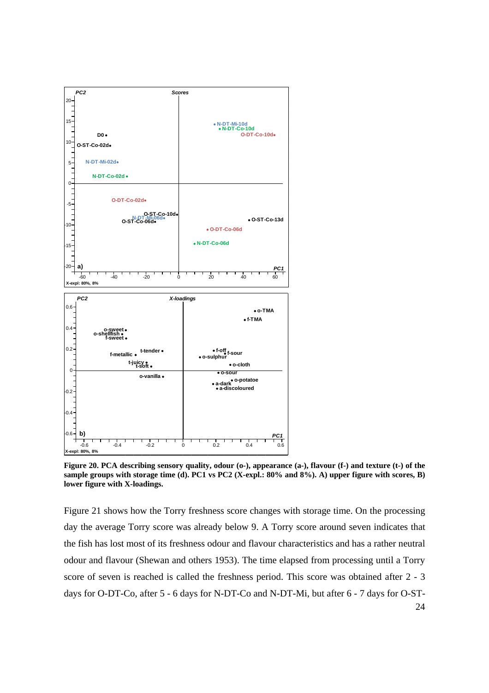

Figure 20. PCA describing sensory quality, odour (o-), appearance (a-), flavour (f-) and texture (t-) of the **sample groups with storage time (d). PC1 vs PC2 (X-expl.: 80% and 8%). A) upper figure with scores, B) lower figure with X-loadings.** 

24 Figure 21 shows how the Torry freshness score changes with storage time. On the processing day the average Torry score was already below 9. A Torry score around seven indicates that the fish has lost most of its freshness odour and flavour characteristics and has a rather neutral odour and flavour (Shewan and others 1953). The time elapsed from processing until a Torry score of seven is reached is called the freshness period. This score was obtained after 2 - 3 days for O-DT-Co, after 5 - 6 days for N-DT-Co and N-DT-Mi, but after 6 - 7 days for O-ST-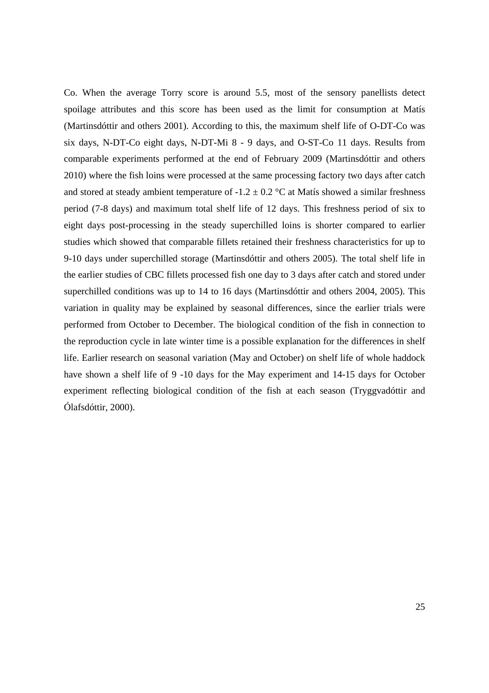Co. When the average Torry score is around 5.5, most of the sensory panellists detect spoilage attributes and this score has been used as the limit for consumption at Matís (Martinsdóttir and others 2001). According to this, the maximum shelf life of O-DT-Co was six days, N-DT-Co eight days, N-DT-Mi 8 - 9 days, and O-ST-Co 11 days. Results from comparable experiments performed at the end of February 2009 (Martinsdóttir and others 2010) where the fish loins were processed at the same processing factory two days after catch and stored at steady ambient temperature of  $-1.2 \pm 0.2$  °C at Matís showed a similar freshness period (7-8 days) and maximum total shelf life of 12 days. This freshness period of six to eight days post-processing in the steady superchilled loins is shorter compared to earlier studies which showed that comparable fillets retained their freshness characteristics for up to 9-10 days under superchilled storage (Martinsdóttir and others 2005). The total shelf life in the earlier studies of CBC fillets processed fish one day to 3 days after catch and stored under superchilled conditions was up to 14 to 16 days (Martinsdóttir and others 2004, 2005). This variation in quality may be explained by seasonal differences, since the earlier trials were performed from October to December. The biological condition of the fish in connection to the reproduction cycle in late winter time is a possible explanation for the differences in shelf life. Earlier research on seasonal variation (May and October) on shelf life of whole haddock have shown a shelf life of 9 -10 days for the May experiment and 14-15 days for October experiment reflecting biological condition of the fish at each season (Tryggvadóttir and Ólafsdóttir, 2000).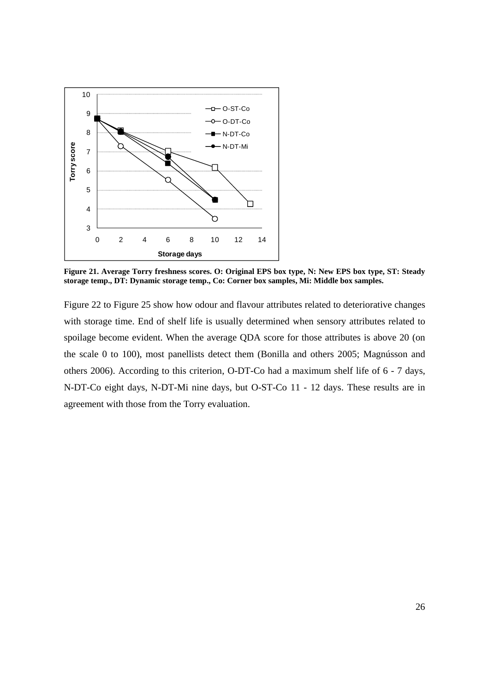

**Figure 21. Average Torry freshness scores. O: Original EPS box type, N: New EPS box type, ST: Steady storage temp., DT: Dynamic storage temp., Co: Corner box samples, Mi: Middle box samples.** 

Figure 22 to Figure 25 show how odour and flavour attributes related to deteriorative changes with storage time. End of shelf life is usually determined when sensory attributes related to spoilage become evident. When the average QDA score for those attributes is above 20 (on the scale 0 to 100), most panellists detect them (Bonilla and others 2005; Magnússon and others 2006). According to this criterion, O-DT-Co had a maximum shelf life of 6 - 7 days, N-DT-Co eight days, N-DT-Mi nine days, but O-ST-Co 11 - 12 days. These results are in agreement with those from the Torry evaluation.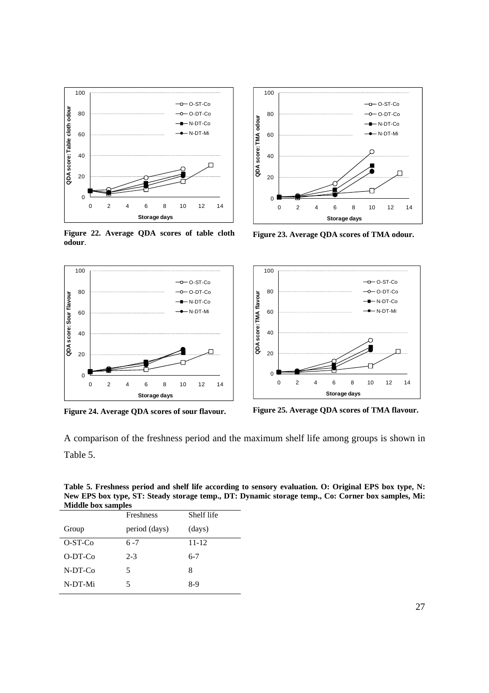

**Figure 22. Average QDA scores of table cloth**  Figure 22. Average QDA scores of table cloth Figure 23. Average QDA scores of TMA odour. <br> **odour.** 







**Figure 24. Average QDA scores of sour flavour. Figure 25. Average QDA scores of TMA flavour.** 

A comparison of the freshness period and the maximum shelf life among groups is shown in Table 5.

**Table 5. Freshness period and shelf life according to sensory evaluation. O: Original EPS box type, N: New EPS box type, ST: Steady storage temp., DT: Dynamic storage temp., Co: Corner box samples, Mi: Middle box samples** 

|           | <b>Freshness</b> | Shelf life |
|-----------|------------------|------------|
| Group     | period (days)    | (days)     |
| $O-ST-Co$ | $6 - 7$          | $11 - 12$  |
| $O-DT-Co$ | $2 - 3$          | $6 - 7$    |
| $N-DT-C0$ | 5                | 8          |
| N-DT-Mi   | 5                | 8-9        |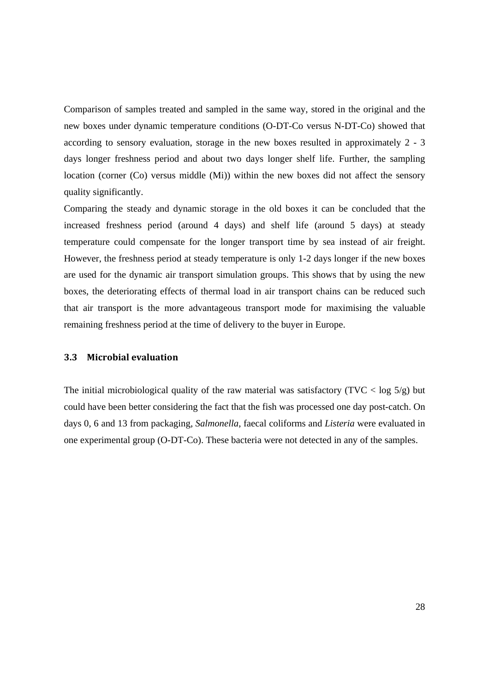Comparison of samples treated and sampled in the same way, stored in the original and the new boxes under dynamic temperature conditions (O-DT-Co versus N-DT-Co) showed that according to sensory evaluation, storage in the new boxes resulted in approximately 2 - 3 days longer freshness period and about two days longer shelf life. Further, the sampling location (corner (Co) versus middle (Mi)) within the new boxes did not affect the sensory quality significantly.

Comparing the steady and dynamic storage in the old boxes it can be concluded that the increased freshness period (around 4 days) and shelf life (around 5 days) at steady temperature could compensate for the longer transport time by sea instead of air freight. However, the freshness period at steady temperature is only 1-2 days longer if the new boxes are used for the dynamic air transport simulation groups. This shows that by using the new boxes, the deteriorating effects of thermal load in air transport chains can be reduced such that air transport is the more advantageous transport mode for maximising the valuable remaining freshness period at the time of delivery to the buyer in Europe.

#### **3.3 Microbial evaluation**

The initial microbiological quality of the raw material was satisfactory (TVC  $\langle$  log 5/g) but could have been better considering the fact that the fish was processed one day post-catch. On days 0, 6 and 13 from packaging, *Salmonella*, faecal coliforms and *Listeria* were evaluated in one experimental group (O-DT-Co). These bacteria were not detected in any of the samples.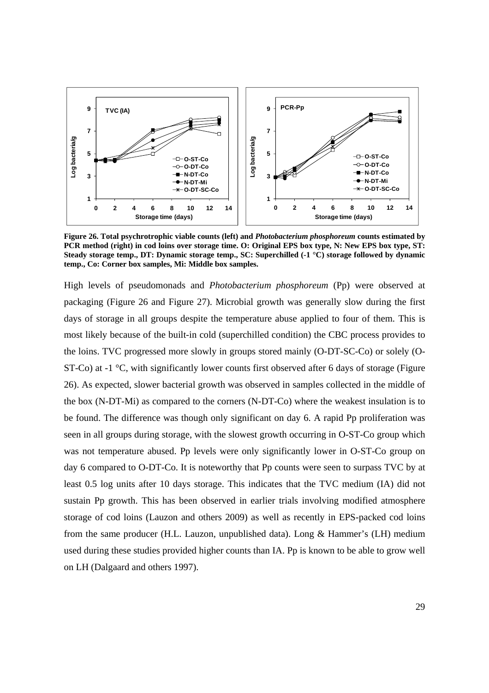

**Figure 26. Total psychrotrophic viable counts (left) and** *Photobacterium phosphoreum* **counts estimated by PCR method (right) in cod loins over storage time. O: Original EPS box type, N: New EPS box type, ST: Steady storage temp., DT: Dynamic storage temp., SC: Superchilled (-1 °C) storage followed by dynamic temp., Co: Corner box samples, Mi: Middle box samples.** 

High levels of pseudomonads and *Photobacterium phosphoreum* (Pp) were observed at packaging (Figure 26 and Figure 27). Microbial growth was generally slow during the first days of storage in all groups despite the temperature abuse applied to four of them. This is most likely because of the built-in cold (superchilled condition) the CBC process provides to the loins. TVC progressed more slowly in groups stored mainly (O-DT-SC-Co) or solely (O-ST-Co) at -1 °C, with significantly lower counts first observed after 6 days of storage (Figure 26). As expected, slower bacterial growth was observed in samples collected in the middle of the box (N-DT-Mi) as compared to the corners (N-DT-Co) where the weakest insulation is to be found. The difference was though only significant on day 6. A rapid Pp proliferation was seen in all groups during storage, with the slowest growth occurring in O-ST-Co group which was not temperature abused. Pp levels were only significantly lower in O-ST-Co group on day 6 compared to O-DT-Co. It is noteworthy that Pp counts were seen to surpass TVC by at least 0.5 log units after 10 days storage. This indicates that the TVC medium (IA) did not sustain Pp growth. This has been observed in earlier trials involving modified atmosphere storage of cod loins (Lauzon and others 2009) as well as recently in EPS-packed cod loins from the same producer (H.L. Lauzon, unpublished data). Long & Hammer's (LH) medium used during these studies provided higher counts than IA. Pp is known to be able to grow well on LH (Dalgaard and others 1997).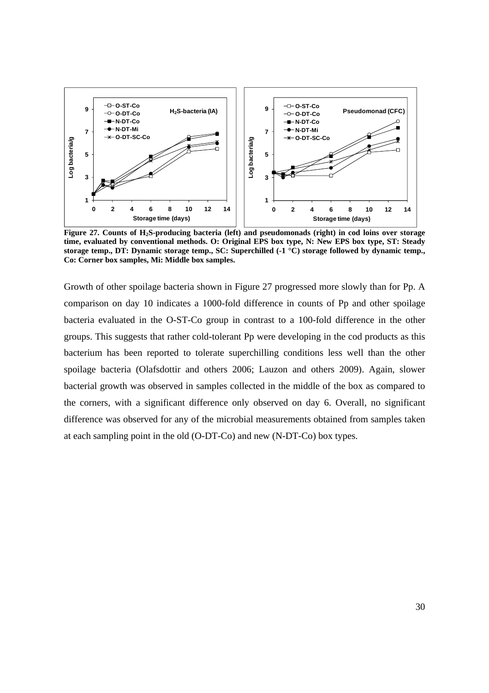

 **Figure 27. Counts of H2S-producing bacteria (left) and pseudomonads (right) in cod loins over storage time, evaluated by conventional methods. O: Original EPS box type, N: New EPS box type, ST: Steady storage temp., DT: Dynamic storage temp., SC: Superchilled (-1 °C) storage followed by dynamic temp., Co: Corner box samples, Mi: Middle box samples.**

Growth of other spoilage bacteria shown in Figure 27 progressed more slowly than for Pp. A comparison on day 10 indicates a 1000-fold difference in counts of Pp and other spoilage bacteria evaluated in the O-ST-Co group in contrast to a 100-fold difference in the other groups. This suggests that rather cold-tolerant Pp were developing in the cod products as this bacterium has been reported to tolerate superchilling conditions less well than the other spoilage bacteria (Olafsdottir and others 2006; Lauzon and others 2009). Again, slower bacterial growth was observed in samples collected in the middle of the box as compared to the corners, with a significant difference only observed on day 6. Overall, no significant difference was observed for any of the microbial measurements obtained from samples taken at each sampling point in the old (O-DT-Co) and new (N-DT-Co) box types.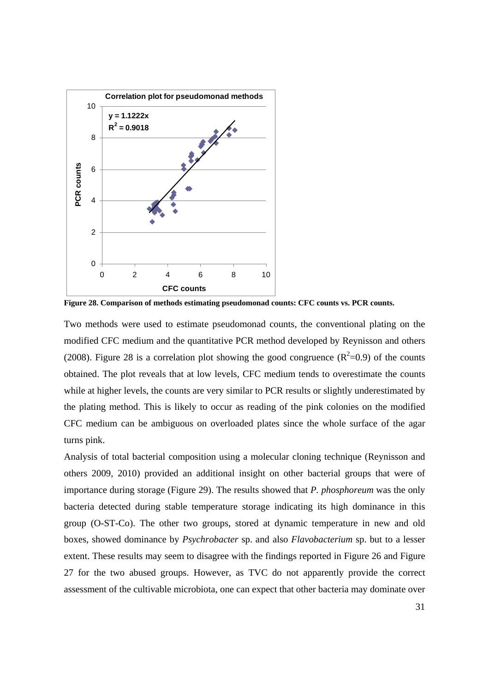

**Figure 28. Comparison of methods estimating pseudomonad counts: CFC counts vs. PCR counts.** 

Two methods were used to estimate pseudomonad counts, the conventional plating on the modified CFC medium and the quantitative PCR method developed by Reynisson and others (2008). Figure 28 is a correlation plot showing the good congruence  $(R^2=0.9)$  of the counts obtained. The plot reveals that at low levels, CFC medium tends to overestimate the counts while at higher levels, the counts are very similar to PCR results or slightly underestimated by the plating method. This is likely to occur as reading of the pink colonies on the modified CFC medium can be ambiguous on overloaded plates since the whole surface of the agar turns pink.

Analysis of total bacterial composition using a molecular cloning technique (Reynisson and others 2009, 2010) provided an additional insight on other bacterial groups that were of importance during storage (Figure 29). The results showed that *P. phosphoreum* was the only bacteria detected during stable temperature storage indicating its high dominance in this group (O-ST-Co). The other two groups, stored at dynamic temperature in new and old boxes, showed dominance by *Psychrobacter* sp. and also *Flavobacterium* sp. but to a lesser extent. These results may seem to disagree with the findings reported in Figure 26 and Figure 27 for the two abused groups. However, as TVC do not apparently provide the correct assessment of the cultivable microbiota, one can expect that other bacteria may dominate over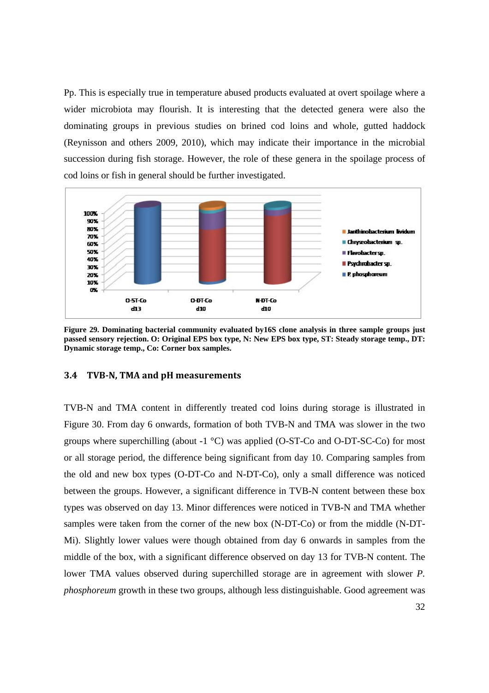Pp. This is especially true in temperature abused products evaluated at overt spoilage where a wider microbiota may flourish. It is interesting that the detected genera were also the dominating groups in previous studies on brined cod loins and whole, gutted haddock (Reynisson and others 2009, 2010), which may indicate their importance in the microbial succession during fish storage. However, the role of these genera in the spoilage process of cod loins or fish in general should be further investigated.



**Figure 29. Dominating bacterial community evaluated by16S clone analysis in three sample groups just passed sensory rejection. O: Original EPS box type, N: New EPS box type, ST: Steady storage temp., DT: Dynamic storage temp., Co: Corner box samples.** 

#### **3.4 TVBN, TMA and pH measurements**

TVB-N and TMA content in differently treated cod loins during storage is illustrated in Figure 30. From day 6 onwards, formation of both TVB-N and TMA was slower in the two groups where superchilling (about  $-1$  °C) was applied (O-ST-Co and O-DT-SC-Co) for most or all storage period, the difference being significant from day 10. Comparing samples from the old and new box types (O-DT-Co and N-DT-Co), only a small difference was noticed between the groups. However, a significant difference in TVB-N content between these box types was observed on day 13. Minor differences were noticed in TVB-N and TMA whether samples were taken from the corner of the new box (N-DT-Co) or from the middle (N-DT-Mi). Slightly lower values were though obtained from day 6 onwards in samples from the middle of the box, with a significant difference observed on day 13 for TVB-N content. The lower TMA values observed during superchilled storage are in agreement with slower *P. phosphoreum* growth in these two groups, although less distinguishable. Good agreement was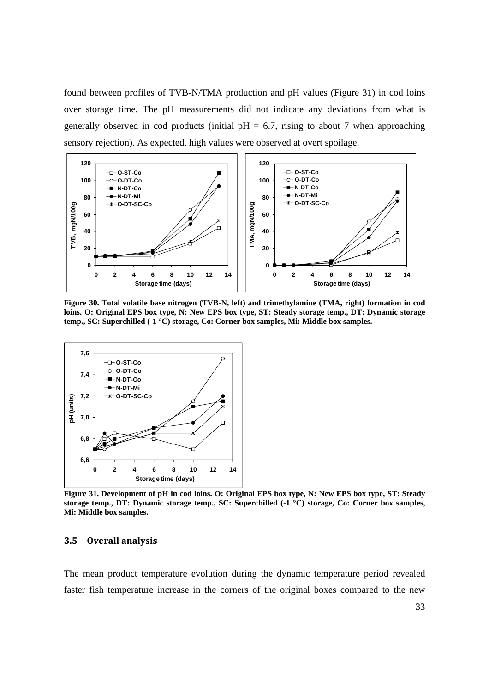found between profiles of TVB-N/TMA production and pH values (Figure 31) in cod loins over storage time. The pH measurements did not indicate any deviations from what is generally observed in cod products (initial  $pH = 6.7$ , rising to about 7 when approaching sensory rejection). As expected, high values were observed at overt spoilage.



**Figure 30. Total volatile base nitrogen (TVB-N, left) and trimethylamine (TMA, right) formation in cod loins. O: Original EPS box type, N: New EPS box type, ST: Steady storage temp., DT: Dynamic storage temp., SC: Superchilled (-1 °C) storage, Co: Corner box samples, Mi: Middle box samples.** 



**Figure 31. Development of pH in cod loins. O: Original EPS box type, N: New EPS box type, ST: Steady storage temp., DT: Dynamic storage temp., SC: Superchilled (-1 °C) storage, Co: Corner box samples, Mi: Middle box samples.** 

#### **3.5 Overall analysis**

The mean product temperature evolution during the dynamic temperature period revealed faster fish temperature increase in the corners of the original boxes compared to the new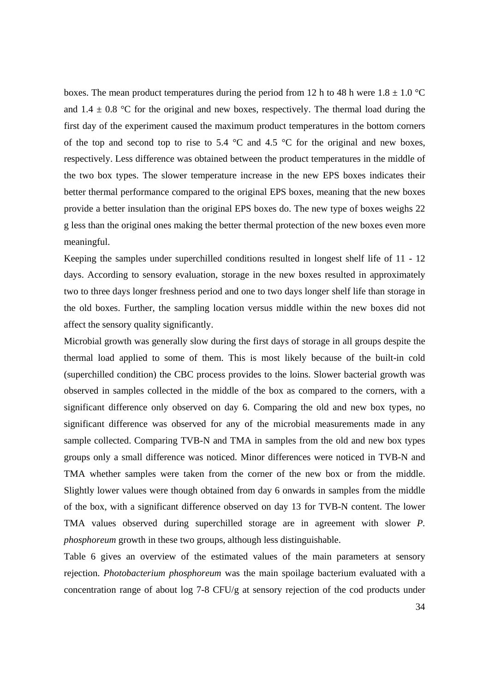boxes. The mean product temperatures during the period from 12 h to 48 h were  $1.8 \pm 1.0$  °C and  $1.4 \pm 0.8$  °C for the original and new boxes, respectively. The thermal load during the first day of the experiment caused the maximum product temperatures in the bottom corners of the top and second top to rise to 5.4  $\degree$ C and 4.5  $\degree$ C for the original and new boxes, respectively. Less difference was obtained between the product temperatures in the middle of the two box types. The slower temperature increase in the new EPS boxes indicates their better thermal performance compared to the original EPS boxes, meaning that the new boxes provide a better insulation than the original EPS boxes do. The new type of boxes weighs 22 g less than the original ones making the better thermal protection of the new boxes even more meaningful.

Keeping the samples under superchilled conditions resulted in longest shelf life of 11 - 12 days. According to sensory evaluation, storage in the new boxes resulted in approximately two to three days longer freshness period and one to two days longer shelf life than storage in the old boxes. Further, the sampling location versus middle within the new boxes did not affect the sensory quality significantly.

Microbial growth was generally slow during the first days of storage in all groups despite the thermal load applied to some of them. This is most likely because of the built-in cold (superchilled condition) the CBC process provides to the loins. Slower bacterial growth was observed in samples collected in the middle of the box as compared to the corners, with a significant difference only observed on day 6. Comparing the old and new box types, no significant difference was observed for any of the microbial measurements made in any sample collected. Comparing TVB-N and TMA in samples from the old and new box types groups only a small difference was noticed. Minor differences were noticed in TVB-N and TMA whether samples were taken from the corner of the new box or from the middle. Slightly lower values were though obtained from day 6 onwards in samples from the middle of the box, with a significant difference observed on day 13 for TVB-N content. The lower TMA values observed during superchilled storage are in agreement with slower *P. phosphoreum* growth in these two groups, although less distinguishable.

Table 6 gives an overview of the estimated values of the main parameters at sensory rejection. *Photobacterium phosphoreum* was the main spoilage bacterium evaluated with a concentration range of about log 7-8 CFU/g at sensory rejection of the cod products under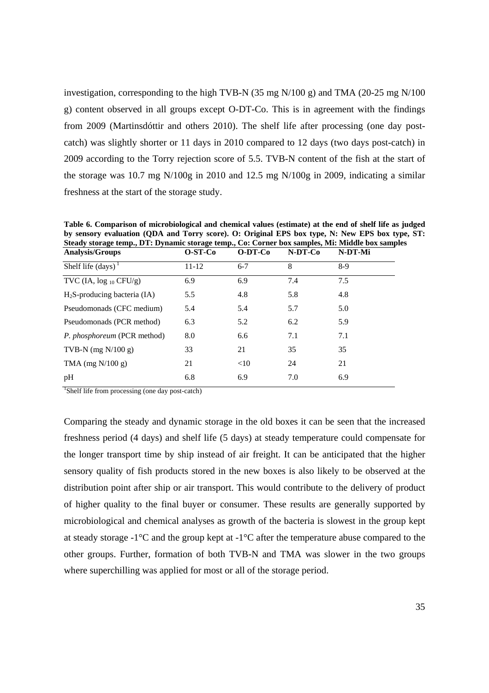investigation, corresponding to the high TVB-N (35 mg N/100 g) and TMA (20-25 mg N/100 g) content observed in all groups except O-DT-Co. This is in agreement with the findings from 2009 (Martinsdóttir and others 2010). The shelf life after processing (one day postcatch) was slightly shorter or 11 days in 2010 compared to 12 days (two days post-catch) in 2009 according to the Torry rejection score of 5.5. TVB-N content of the fish at the start of the storage was 10.7 mg N/100g in 2010 and 12.5 mg N/100g in 2009, indicating a similar freshness at the start of the storage study.

| Steady storage temp., DT: Dynamic storage temp., Co: Corner box samples, Mi: Middle box samples |           |         |         |  |
|-------------------------------------------------------------------------------------------------|-----------|---------|---------|--|
| $O-ST-Co$                                                                                       | $O-DT-Co$ | N-DT-Co | N-DT-Mi |  |
| $11 - 12$                                                                                       | $6 - 7$   | 8       | $8-9$   |  |
| 6.9                                                                                             | 6.9       | 7.4     | 7.5     |  |
| 5.5                                                                                             | 4.8       | 5.8     | 4.8     |  |
| 5.4                                                                                             | 5.4       | 5.7     | 5.0     |  |
| 6.3                                                                                             | 5.2       | 6.2     | 5.9     |  |
| 8.0                                                                                             | 6.6       | 7.1     | 7.1     |  |
| 33                                                                                              | 21        | 35      | 35      |  |
| 21                                                                                              | <10       | 24      | 21      |  |
| 6.8                                                                                             | 6.9       | 7.0     | 6.9     |  |
|                                                                                                 |           |         |         |  |

**Table 6. Comparison of microbiological and chemical values (estimate) at the end of shelf life as judged by sensory evaluation (QDA and Torry score). O: Original EPS box type, N: New EPS box type, ST:** 

<sup>1</sup>Shelf life from processing (one day post-catch)

Comparing the steady and dynamic storage in the old boxes it can be seen that the increased freshness period (4 days) and shelf life (5 days) at steady temperature could compensate for the longer transport time by ship instead of air freight. It can be anticipated that the higher sensory quality of fish products stored in the new boxes is also likely to be observed at the distribution point after ship or air transport. This would contribute to the delivery of product of higher quality to the final buyer or consumer. These results are generally supported by microbiological and chemical analyses as growth of the bacteria is slowest in the group kept at steady storage -1°C and the group kept at -1°C after the temperature abuse compared to the other groups. Further, formation of both TVB-N and TMA was slower in the two groups where superchilling was applied for most or all of the storage period.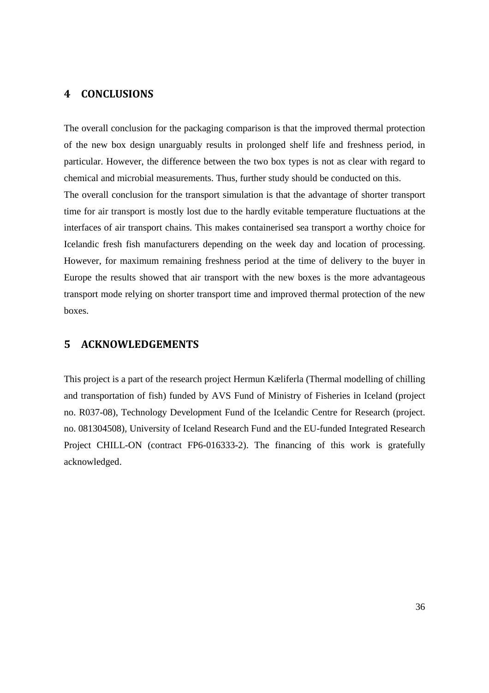#### **4 CONCLUSIONS**

The overall conclusion for the packaging comparison is that the improved thermal protection of the new box design unarguably results in prolonged shelf life and freshness period, in particular. However, the difference between the two box types is not as clear with regard to chemical and microbial measurements. Thus, further study should be conducted on this. The overall conclusion for the transport simulation is that the advantage of shorter transport time for air transport is mostly lost due to the hardly evitable temperature fluctuations at the interfaces of air transport chains. This makes containerised sea transport a worthy choice for Icelandic fresh fish manufacturers depending on the week day and location of processing. However, for maximum remaining freshness period at the time of delivery to the buyer in Europe the results showed that air transport with the new boxes is the more advantageous transport mode relying on shorter transport time and improved thermal protection of the new boxes.

#### **5 ACKNOWLEDGEMENTS**

This project is a part of the research project Hermun Kæliferla (Thermal modelling of chilling and transportation of fish) funded by AVS Fund of Ministry of Fisheries in Iceland (project no. R037-08), Technology Development Fund of the Icelandic Centre for Research (project. no. 081304508), University of Iceland Research Fund and the EU-funded Integrated Research Project CHILL-ON (contract FP6-016333-2). The financing of this work is gratefully acknowledged.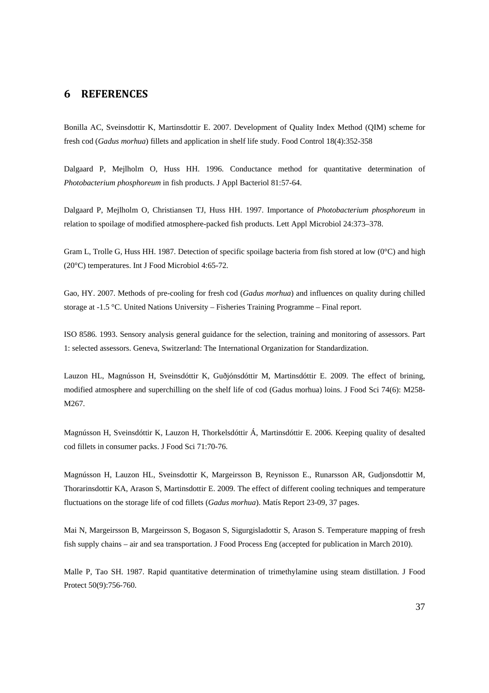#### **6 REFERENCES**

Bonilla AC, Sveinsdottir K, Martinsdottir E. 2007. Development of Quality Index Method (QIM) scheme for fresh cod (*Gadus morhua*) fillets and application in shelf life study. Food Control 18(4):352-358

Dalgaard P, Mejlholm O, Huss HH. 1996. Conductance method for quantitative determination of *Photobacterium phosphoreum* in fish products. J Appl Bacteriol 81:57-64.

Dalgaard P, Mejlholm O, Christiansen TJ, Huss HH. 1997. Importance of *Photobacterium phosphoreum* in relation to spoilage of modified atmosphere-packed fish products. Lett Appl Microbiol 24:373–378.

Gram L, Trolle G, Huss HH. 1987. Detection of specific spoilage bacteria from fish stored at low (0°C) and high (20°C) temperatures. Int J Food Microbiol 4:65-72.

Gao, HY. 2007. Methods of pre-cooling for fresh cod (*Gadus morhua*) and influences on quality during chilled storage at -1.5 °C. United Nations University – Fisheries Training Programme – Final report.

ISO 8586. 1993. Sensory analysis general guidance for the selection, training and monitoring of assessors. Part 1: selected assessors. Geneva, Switzerland: The International Organization for Standardization.

Lauzon HL, Magnússon H, Sveinsdóttir K, Guðjónsdóttir M, Martinsdóttir E. 2009. The effect of brining, modified atmosphere and superchilling on the shelf life of cod (Gadus morhua) loins. J Food Sci 74(6): M258- M267.

Magnússon H, Sveinsdóttir K, Lauzon H, Thorkelsdóttir Á, Martinsdóttir E. 2006. Keeping quality of desalted cod fillets in consumer packs. J Food Sci 71:70-76.

Magnússon H, Lauzon HL, Sveinsdottir K, Margeirsson B, Reynisson E., Runarsson AR, Gudjonsdottir M, Thorarinsdottir KA, Arason S, Martinsdottir E. 2009. The effect of different cooling techniques and temperature fluctuations on the storage life of cod fillets (*Gadus morhua*). Matís Report 23-09, 37 pages.

Mai N, Margeirsson B, Margeirsson S, Bogason S, Sigurgisladottir S, Arason S. Temperature mapping of fresh fish supply chains – air and sea transportation. J Food Process Eng (accepted for publication in March 2010).

Malle P, Tao SH. 1987. Rapid quantitative determination of trimethylamine using steam distillation. J Food Protect 50(9):756-760.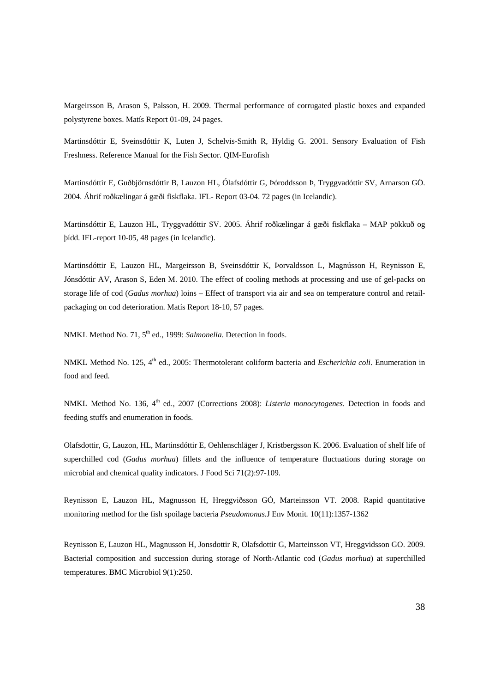Margeirsson B, Arason S, Palsson, H. 2009. Thermal performance of corrugated plastic boxes and expanded polystyrene boxes. Matís Report 01-09, 24 pages.

Martinsdóttir E, Sveinsdóttir K, Luten J, Schelvis-Smith R, Hyldig G. 2001. Sensory Evaluation of Fish Freshness. Reference Manual for the Fish Sector. QIM-Eurofish

Martinsdóttir E, Guðbjörnsdóttir B, Lauzon HL, Ólafsdóttir G, Þóroddsson Þ, Tryggvadóttir SV, Arnarson GÖ. 2004. Áhrif roðkælingar á gæði fiskflaka. IFL- Report 03-04. 72 pages (in Icelandic).

Martinsdóttir E, Lauzon HL, Tryggvadóttir SV. 2005. Áhrif roðkælingar á gæði fiskflaka – MAP pökkuð og þídd. IFL-report 10-05, 48 pages (in Icelandic).

Martinsdóttir E, Lauzon HL, Margeirsson B, Sveinsdóttir K, Þorvaldsson L, Magnússon H, Reynisson E, Jónsdóttir AV, Arason S, Eden M. 2010. The effect of cooling methods at processing and use of gel-packs on storage life of cod (*Gadus morhua*) loins – Effect of transport via air and sea on temperature control and retailpackaging on cod deterioration. Matís Report 18-10, 57 pages.

NMKL Method No. 71, 5<sup>th</sup> ed., 1999: *Salmonella*. Detection in foods.

NMKL Method No. 125, 4<sup>th</sup> ed., 2005: Thermotolerant coliform bacteria and *Escherichia coli*. Enumeration in food and feed.

NMKL Method No. 136, 4<sup>th</sup> ed., 2007 (Corrections 2008): *Listeria monocytogenes*. Detection in foods and feeding stuffs and enumeration in foods.

Olafsdottir, G, Lauzon, HL, Martinsdóttir E, Oehlenschläger J, Kristbergsson K. 2006. Evaluation of shelf life of superchilled cod (*Gadus morhua*) fillets and the influence of temperature fluctuations during storage on microbial and chemical quality indicators. J Food Sci 71(2):97-109.

Reynisson E, Lauzon HL, Magnusson H, Hreggviðsson GÓ, Marteinsson VT. 2008. Rapid quantitative monitoring method for the fish spoilage bacteria *Pseudomonas.*J Env Monit*.* 10(11):1357-1362

Reynisson E, Lauzon HL, Magnusson H, Jonsdottir R, Olafsdottir G, Marteinsson VT, Hreggvidsson GO. 2009. Bacterial composition and succession during storage of North-Atlantic cod (*Gadus morhua*) at superchilled temperatures. BMC Microbiol 9(1):250.